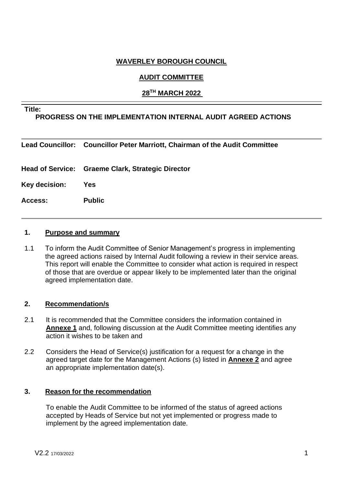# **WAVERLEY BOROUGH COUNCIL**

# **AUDIT COMMITTEE**

# **28TH MARCH 2022**

#### **Title:**

# **PROGRESS ON THE IMPLEMENTATION INTERNAL AUDIT AGREED ACTIONS**

**Lead Councillor: Councillor Peter Marriott, Chairman of the Audit Committee**

**Head of Service: Graeme Clark, Strategic Director**

**Key decision: Yes**

**Access: Public**

#### **1. Purpose and summary**

1.1 To inform the Audit Committee of Senior Management's progress in implementing the agreed actions raised by Internal Audit following a review in their service areas. This report will enable the Committee to consider what action is required in respect of those that are overdue or appear likely to be implemented later than the original agreed implementation date.

### **2. Recommendation/s**

- 2.1 It is recommended that the Committee considers the information contained in **Annexe 1** and, following discussion at the Audit Committee meeting identifies any action it wishes to be taken and
- 2.2 Considers the Head of Service(s) justification for a request for a change in the agreed target date for the Management Actions (s) listed in **Annexe 2** and agree an appropriate implementation date(s).

### **3. Reason for the recommendation**

To enable the Audit Committee to be informed of the status of agreed actions accepted by Heads of Service but not yet implemented or progress made to implement by the agreed implementation date.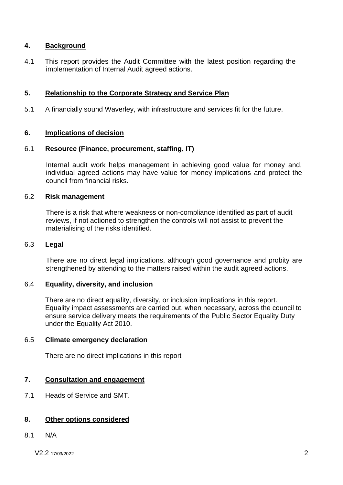# **4. Background**

4.1 This report provides the Audit Committee with the latest position regarding the implementation of Internal Audit agreed actions.

### **5. Relationship to the Corporate Strategy and Service Plan**

5.1 A financially sound Waverley, with infrastructure and services fit for the future.

### **6. Implications of decision**

### 6.1 **Resource (Finance, procurement, staffing, IT)**

Internal audit work helps management in achieving good value for money and, individual agreed actions may have value for money implications and protect the council from financial risks.

#### 6.2 **Risk management**

There is a risk that where weakness or non-compliance identified as part of audit reviews, if not actioned to strengthen the controls will not assist to prevent the materialising of the risks identified.

#### 6.3 **Legal**

There are no direct legal implications, although good governance and probity are strengthened by attending to the matters raised within the audit agreed actions.

### 6.4 **Equality, diversity, and inclusion**

There are no direct equality, diversity, or inclusion implications in this report. Equality impact assessments are carried out, when necessary, across the council to ensure service delivery meets the requirements of the Public Sector Equality Duty under the Equality Act 2010.

### 6.5 **Climate emergency declaration**

There are no direct implications in this report

### **7. Consultation and engagement**

7.1 Heads of Service and SMT.

### **8. Other options considered**

8.1 N/A

V2.2 17/03/2022 2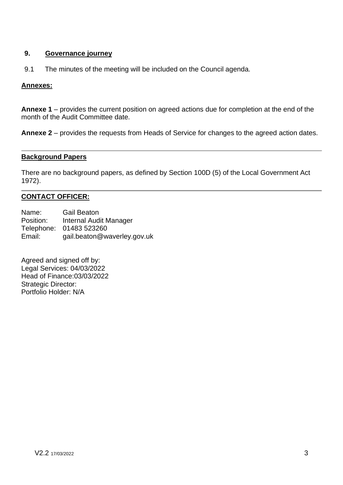# **9. Governance journey**

9.1 The minutes of the meeting will be included on the Council agenda.

# **Annexes:**

**Annexe 1** – provides the current position on agreed actions due for completion at the end of the month of the Audit Committee date.

**Annexe 2** – provides the requests from Heads of Service for changes to the agreed action dates.

#### **Background Papers**

There are no background papers, as defined by Section 100D (5) of the Local Government Act 1972).

# **CONTACT OFFICER:**

Name: Gail Beaton Position: Internal Audit Manager Telephone: 01483 523260 Email: gail.beaton@waverley.gov.uk

Agreed and signed off by: Legal Services: 04/03/2022 Head of Finance:03/03/2022 Strategic Director: Portfolio Holder: N/A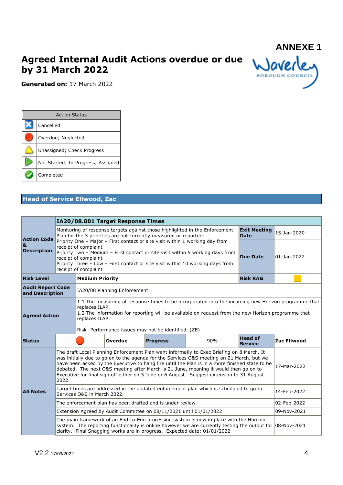# **Agreed Internal Audit Actions overdue or due by 31 March 2022**



**Generated on:** 17 March 2022

| <b>Action Status</b>               |  |  |  |  |  |  |  |
|------------------------------------|--|--|--|--|--|--|--|
| Cancelled                          |  |  |  |  |  |  |  |
| Overdue; Neglected                 |  |  |  |  |  |  |  |
| Unassigned; Check Progress         |  |  |  |  |  |  |  |
| Not Started; In Progress; Assigned |  |  |  |  |  |  |  |
| Completed                          |  |  |  |  |  |  |  |

# **Head of Service Ellwood, Zac**

|                                             |       | IA20/08.001 Target Response Times                                    |                                                                                                                                                                                                                                                                                                       |                                                                    |                                                                                                                                                                                                                                                                                                                                                                                                                                                                               |                                    |             |  |  |
|---------------------------------------------|-------|----------------------------------------------------------------------|-------------------------------------------------------------------------------------------------------------------------------------------------------------------------------------------------------------------------------------------------------------------------------------------------------|--------------------------------------------------------------------|-------------------------------------------------------------------------------------------------------------------------------------------------------------------------------------------------------------------------------------------------------------------------------------------------------------------------------------------------------------------------------------------------------------------------------------------------------------------------------|------------------------------------|-------------|--|--|
| <b>Action Code</b>                          |       |                                                                      |                                                                                                                                                                                                                                                                                                       | Plan for the 3 priorities are not currently measured or reported:  | Monitoring of response targets against those highlighted in the Enforcement                                                                                                                                                                                                                                                                                                                                                                                                   | <b>Exit Meeting</b><br><b>Date</b> | 15-Jan-2020 |  |  |
| &<br><b>Description</b>                     |       | receipt of complaint<br>receipt of complaint<br>receipt of complaint | Priority One - Major - First contact or site visit within 1 working day from<br>Priority Two - Medium - First contact or site visit within 5 working days from<br>Priority Three - Low - First contact or site visit within 10 working days from                                                      | <b>Due Date</b>                                                    | 01-Jan-2022                                                                                                                                                                                                                                                                                                                                                                                                                                                                   |                                    |             |  |  |
| <b>Risk Level</b>                           |       | <b>Medium Priority</b>                                               |                                                                                                                                                                                                                                                                                                       |                                                                    |                                                                                                                                                                                                                                                                                                                                                                                                                                                                               | <b>Risk RAG</b>                    |             |  |  |
| <b>Audit Report Code</b><br>and Description |       |                                                                      | IA20/08 Planning Enforcement                                                                                                                                                                                                                                                                          |                                                                    |                                                                                                                                                                                                                                                                                                                                                                                                                                                                               |                                    |             |  |  |
| <b>Agreed Action</b>                        |       |                                                                      | 1.1 The measuring of response times to be incorporated into the incoming new Horizon programme that<br>replaces ILAP.<br>1.2 The information for reporting will be available on request from the new Horizon programme that<br>replaces ILAP.<br>Risk -Performance issues may not be identified. (ZE) |                                                                    |                                                                                                                                                                                                                                                                                                                                                                                                                                                                               |                                    |             |  |  |
| <b>Status</b>                               |       |                                                                      | Overdue                                                                                                                                                                                                                                                                                               | <b>Progress</b>                                                    | 90%                                                                                                                                                                                                                                                                                                                                                                                                                                                                           | <b>Head of</b><br><b>Service</b>   | Zac Ellwood |  |  |
|                                             | 2022. |                                                                      |                                                                                                                                                                                                                                                                                                       |                                                                    | The draft Local Planning Enforcement Plan went informally to Exec Briefing on 8 March. It<br>was initially due to go on to the agenda for the Services O&S meeting on 21 March, but we<br>have been asked by the Executive to hang fire until the Plan is in a more finished state to be<br>debated. The next O&S meeting after March is 21 June, meaning it would then go on to<br>Executive for final sign off either on 5 June or 6 August. Suggest extension to 31 August |                                    | 17-Mar-2022 |  |  |
| <b>All Notes</b>                            |       | Services O&S in March 2022.                                          |                                                                                                                                                                                                                                                                                                       |                                                                    | Target times are addressed in the updated enforcement plan which is scheduled to go to                                                                                                                                                                                                                                                                                                                                                                                        |                                    | 14-Feb-2022 |  |  |
|                                             |       |                                                                      |                                                                                                                                                                                                                                                                                                       | The enforcement plan has been drafted and is under review.         |                                                                                                                                                                                                                                                                                                                                                                                                                                                                               |                                    | 02-Feb-2022 |  |  |
|                                             |       |                                                                      |                                                                                                                                                                                                                                                                                                       | Extension Agreed by Audit Committee on 08/11/2021 until 01/01/2022 |                                                                                                                                                                                                                                                                                                                                                                                                                                                                               |                                    | 09-Nov-2021 |  |  |
|                                             |       |                                                                      |                                                                                                                                                                                                                                                                                                       |                                                                    | The main framework of an End-to-End processing system is now in place with the Horizon<br>system. The reporting functionality is online however we are currently testing the output for $ 08-Nov-2021 $<br>clarity. Final Snagging works are in progress. Expected date: 01/01/2022                                                                                                                                                                                           |                                    |             |  |  |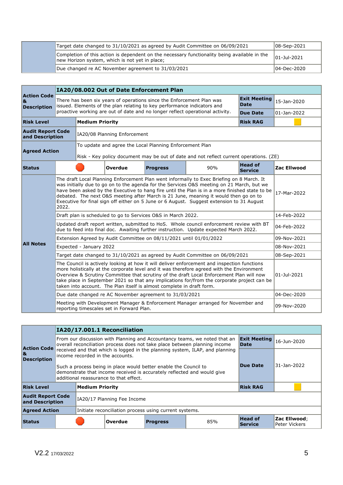| Target date changed to 31/10/2021 as agreed by Audit Committee on 06/09/2021                                                                   | $ 08 - \text{Sep} - 2021 $ |
|------------------------------------------------------------------------------------------------------------------------------------------------|----------------------------|
| Completion of this action is dependent on the necessary functionality being available in the<br>new Horizon system, which is not yet in place; | $ 01 - Ju  - 2021$         |
| Due changed re AC November agreement to 31/03/2021                                                                                             | 104-Dec-2020               |

|                                               |                                                                                                                                                                                   |                                                                                                                                                                                                                                                                                                                                                                                                                                                                                              | IA20/08.002 Out of Date Enforcement Plan  |                                                                                                                                                  |                                                                                                                                                                                                                                                                                                                                                                                     |                                    |                    |  |
|-----------------------------------------------|-----------------------------------------------------------------------------------------------------------------------------------------------------------------------------------|----------------------------------------------------------------------------------------------------------------------------------------------------------------------------------------------------------------------------------------------------------------------------------------------------------------------------------------------------------------------------------------------------------------------------------------------------------------------------------------------|-------------------------------------------|--------------------------------------------------------------------------------------------------------------------------------------------------|-------------------------------------------------------------------------------------------------------------------------------------------------------------------------------------------------------------------------------------------------------------------------------------------------------------------------------------------------------------------------------------|------------------------------------|--------------------|--|
| <b>Action Code</b><br>&<br><b>Description</b> |                                                                                                                                                                                   |                                                                                                                                                                                                                                                                                                                                                                                                                                                                                              |                                           | There has been six years of operations since the Enforcement Plan was<br>issued. Elements of the plan relating to key performance indicators and |                                                                                                                                                                                                                                                                                                                                                                                     | <b>Exit Meeting</b><br><b>Date</b> | 15-Jan-2020        |  |
|                                               |                                                                                                                                                                                   |                                                                                                                                                                                                                                                                                                                                                                                                                                                                                              |                                           |                                                                                                                                                  | proactive working are out of date and no longer reflect operational activity.                                                                                                                                                                                                                                                                                                       | <b>Due Date</b>                    | 01-Jan-2022        |  |
| <b>Risk Level</b>                             |                                                                                                                                                                                   | <b>Medium Priority</b>                                                                                                                                                                                                                                                                                                                                                                                                                                                                       |                                           |                                                                                                                                                  |                                                                                                                                                                                                                                                                                                                                                                                     | <b>Risk RAG</b>                    |                    |  |
|                                               | <b>Audit Report Code</b><br>IA20/08 Planning Enforcement<br>and Description                                                                                                       |                                                                                                                                                                                                                                                                                                                                                                                                                                                                                              |                                           |                                                                                                                                                  |                                                                                                                                                                                                                                                                                                                                                                                     |                                    |                    |  |
| <b>Agreed Action</b>                          |                                                                                                                                                                                   |                                                                                                                                                                                                                                                                                                                                                                                                                                                                                              |                                           | To update and agree the Local Planning Enforcement Plan                                                                                          | Risk - Key policy document may be out of date and not reflect current operations. (ZE)                                                                                                                                                                                                                                                                                              |                                    |                    |  |
| <b>Status</b>                                 |                                                                                                                                                                                   |                                                                                                                                                                                                                                                                                                                                                                                                                                                                                              | Overdue                                   | <b>Progress</b>                                                                                                                                  | 90%                                                                                                                                                                                                                                                                                                                                                                                 | <b>Head of</b><br><b>Service</b>   | <b>Zac Ellwood</b> |  |
|                                               | 2022.                                                                                                                                                                             | The draft Local Planning Enforcement Plan went informally to Exec Briefing on 8 March. It<br>was initially due to go on to the agenda for the Services O&S meeting on 21 March, but we<br>have been asked by the Executive to hang fire until the Plan is in a more finished state to be<br>17-Mar-2022<br>debated. The next O&S meeting after March is 21 June, meaning it would then go on to<br>Executive for final sign off either on 5 June or 6 August. Suggest extension to 31 August |                                           |                                                                                                                                                  |                                                                                                                                                                                                                                                                                                                                                                                     |                                    |                    |  |
|                                               | Draft plan is scheduled to go to Services O&S in March 2022.                                                                                                                      | 14-Feb-2022                                                                                                                                                                                                                                                                                                                                                                                                                                                                                  |                                           |                                                                                                                                                  |                                                                                                                                                                                                                                                                                                                                                                                     |                                    |                    |  |
|                                               | Updated draft report written, submitted to HoS. Whole council enforcement review with BT<br>due to feed into final doc. Awaiting further instruction. Update expected March 2022. | 04-Feb-2022                                                                                                                                                                                                                                                                                                                                                                                                                                                                                  |                                           |                                                                                                                                                  |                                                                                                                                                                                                                                                                                                                                                                                     |                                    |                    |  |
|                                               |                                                                                                                                                                                   |                                                                                                                                                                                                                                                                                                                                                                                                                                                                                              |                                           | Extension Agreed by Audit Committee on 08/11/2021 until 01/01/2022                                                                               |                                                                                                                                                                                                                                                                                                                                                                                     |                                    | 09-Nov-2021        |  |
| <b>All Notes</b>                              |                                                                                                                                                                                   | Expected - January 2022                                                                                                                                                                                                                                                                                                                                                                                                                                                                      |                                           |                                                                                                                                                  |                                                                                                                                                                                                                                                                                                                                                                                     |                                    | 08-Nov-2021        |  |
|                                               |                                                                                                                                                                                   |                                                                                                                                                                                                                                                                                                                                                                                                                                                                                              |                                           |                                                                                                                                                  | Target date changed to 31/10/2021 as agreed by Audit Committee on 06/09/2021                                                                                                                                                                                                                                                                                                        |                                    | 08-Sep-2021        |  |
|                                               |                                                                                                                                                                                   |                                                                                                                                                                                                                                                                                                                                                                                                                                                                                              |                                           | taken into account. The Plan itself is almost complete in draft form.                                                                            | The Council is actively looking at how it will deliver enforcement and inspection functions<br>more holistically at the corporate level and it was therefore agreed with the Environment<br>Overview & Scrutiny Committee that scrutiny of the draft Local Enforcement Plan will now<br>take place in September 2021 so that any implications for/from the corporate project can be |                                    | $01 -$ Jul-2021    |  |
|                                               |                                                                                                                                                                                   |                                                                                                                                                                                                                                                                                                                                                                                                                                                                                              |                                           | Due date changed re AC November agreement to 31/03/2021                                                                                          |                                                                                                                                                                                                                                                                                                                                                                                     |                                    | 04-Dec-2020        |  |
|                                               |                                                                                                                                                                                   |                                                                                                                                                                                                                                                                                                                                                                                                                                                                                              | reporting timescales set in Forward Plan. |                                                                                                                                                  | Meeting with Development Manager & Enforcement Manager arranged for November and                                                                                                                                                                                                                                                                                                    |                                    | 09-Nov-2020        |  |

|                                                                                |  | IA20/17.001.1 Reconciliation     |                                                                                                                                                                                        |                 |             |                            |                               |  |  |
|--------------------------------------------------------------------------------|--|----------------------------------|----------------------------------------------------------------------------------------------------------------------------------------------------------------------------------------|-----------------|-------------|----------------------------|-------------------------------|--|--|
| <b>Action Code</b>                                                             |  |                                  | <b>Exit Meeting</b><br>From our discussion with Planning and Accountancy teams, we noted that an<br>overall reconciliation process does not take place between planning income<br>Date |                 |             |                            | $16-1$ un-2020                |  |  |
| &<br><b>Description</b>                                                        |  | income recorded in the accounts. | received and that which is logged in the planning system, ILAP, and planning                                                                                                           |                 |             |                            |                               |  |  |
|                                                                                |  |                                  | Such a process being in place would better enable the Council to<br>demonstrate that income received is accurately reflected and would give<br>additional reassurance to that effect.  | Due Date        | 31-Jan-2022 |                            |                               |  |  |
| <b>Risk Level</b>                                                              |  | <b>Medium Priority</b>           |                                                                                                                                                                                        |                 |             | <b>Risk RAG</b>            |                               |  |  |
| <b>Audit Report Code</b><br>and Description                                    |  |                                  | IA20/17 Planning Fee Income                                                                                                                                                            |                 |             |                            |                               |  |  |
| <b>Agreed Action</b><br>Initiate reconciliation process using current systems. |  |                                  |                                                                                                                                                                                        |                 |             |                            |                               |  |  |
| Status                                                                         |  |                                  | Overdue                                                                                                                                                                                | <b>Progress</b> | 85%         | <b>Head of</b><br> Service | Zac Ellwood;<br>Peter Vickers |  |  |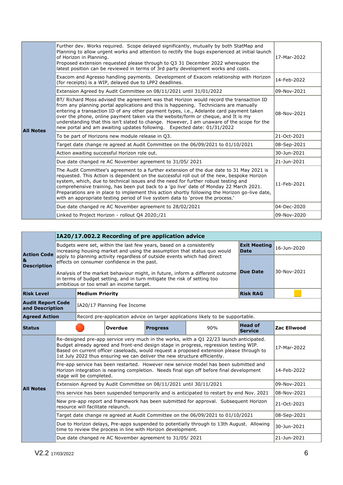|  | Further dev. Works required. Scope delayed significantly, mutually by both StatMap and<br>Planning to allow urgent works and attention to rectify the bugs experienced at initial launch<br>of Horizon in Planning.<br>Proposed extension requested please through to Q3 31 December 2022 whereupon the<br>latest position can be reviewed in terms of 3rd party development works and costs.                                                                                                                                                              | 17-Mar-2022                                                                                                                                                                                                                                                                                                                                                                                                                                                                                                                                              |             |  |  |  |
|--|------------------------------------------------------------------------------------------------------------------------------------------------------------------------------------------------------------------------------------------------------------------------------------------------------------------------------------------------------------------------------------------------------------------------------------------------------------------------------------------------------------------------------------------------------------|----------------------------------------------------------------------------------------------------------------------------------------------------------------------------------------------------------------------------------------------------------------------------------------------------------------------------------------------------------------------------------------------------------------------------------------------------------------------------------------------------------------------------------------------------------|-------------|--|--|--|
|  |                                                                                                                                                                                                                                                                                                                                                                                                                                                                                                                                                            | Exacom and Agresso handling payments. Development of Exacom relationship with Horizon<br>(for receipts) is a WIP, delayed due to LPP2 deadlines.                                                                                                                                                                                                                                                                                                                                                                                                         | 14-Feb-2022 |  |  |  |
|  |                                                                                                                                                                                                                                                                                                                                                                                                                                                                                                                                                            | Extension Agreed by Audit Committee on 08/11/2021 until 31/01/2022                                                                                                                                                                                                                                                                                                                                                                                                                                                                                       | 09-Nov-2021 |  |  |  |
|  | <b>All Notes</b>                                                                                                                                                                                                                                                                                                                                                                                                                                                                                                                                           | BT/ Richard Moss advised the agreement was that Horizon would record the transaction ID<br>from any planning portal applications and this is happening. Technicians are manually<br>entering a transaction ID of any other payment types, i.e., Adelante card payment taken<br>08-Nov-2021<br>over the phone, online payment taken via the website/form or cheque, and It is my<br>understanding that this isn't slated to change. However, I am unaware of the scope for the<br>new portal and am awaiting updates following. Expected date: 01/31/2022 |             |  |  |  |
|  |                                                                                                                                                                                                                                                                                                                                                                                                                                                                                                                                                            | To be part of Horizons new module release in Q3.                                                                                                                                                                                                                                                                                                                                                                                                                                                                                                         | 21-Oct-2021 |  |  |  |
|  |                                                                                                                                                                                                                                                                                                                                                                                                                                                                                                                                                            | Target date change re agreed at Audit Committee on the 06/09/2021 to 01/10/2021                                                                                                                                                                                                                                                                                                                                                                                                                                                                          | 08-Sep-2021 |  |  |  |
|  |                                                                                                                                                                                                                                                                                                                                                                                                                                                                                                                                                            | Action awaiting successful Horizon role out.                                                                                                                                                                                                                                                                                                                                                                                                                                                                                                             | 30-Jun-2021 |  |  |  |
|  |                                                                                                                                                                                                                                                                                                                                                                                                                                                                                                                                                            | Due date changed re AC November agreement to 31/05/2021                                                                                                                                                                                                                                                                                                                                                                                                                                                                                                  | 21-Jun-2021 |  |  |  |
|  | The Audit Committee's agreement to a further extension of the due date to 31 May 2021 is<br>requested. This Action is dependent on the successful roll out of the new, bespoke Horizon<br>system, which, due to technical issues and the need for further robust testing and<br>comprehensive training, has been put back to a 'go live' date of Monday 22 March 2021.<br>Preparations are in place to implement this action shortly following the Horizon go-live date,<br>with an appropriate testing period of live system data to 'prove the process.' | 11-Feb-2021                                                                                                                                                                                                                                                                                                                                                                                                                                                                                                                                              |             |  |  |  |
|  |                                                                                                                                                                                                                                                                                                                                                                                                                                                                                                                                                            | Due date changed re AC November agreement to 28/02/2021                                                                                                                                                                                                                                                                                                                                                                                                                                                                                                  | 04-Dec-2020 |  |  |  |
|  | Linked to Project Horizon - rollout Q4 2020;/21                                                                                                                                                                                                                                                                                                                                                                                                                                                                                                            | 09-Nov-2020                                                                                                                                                                                                                                                                                                                                                                                                                                                                                                                                              |             |  |  |  |

|                                             | IA20/17.002.2 Recording of pre application advice |                                                                                                                                                                                                                                                                                                                                                           |                                             |                                                                          |                                                                                            |                                    |             |  |  |
|---------------------------------------------|---------------------------------------------------|-----------------------------------------------------------------------------------------------------------------------------------------------------------------------------------------------------------------------------------------------------------------------------------------------------------------------------------------------------------|---------------------------------------------|--------------------------------------------------------------------------|--------------------------------------------------------------------------------------------|------------------------------------|-------------|--|--|
| <b>Action Code</b>                          |                                                   |                                                                                                                                                                                                                                                                                                                                                           |                                             | Budgets were set, within the last few years, based on a consistently     | increasing housing market and using the assumption that status quo would                   | <b>Exit Meeting</b><br><b>Date</b> | 16-Jun-2020 |  |  |
| &<br><b>Description</b>                     |                                                   |                                                                                                                                                                                                                                                                                                                                                           | effects on consumer confidence in the past. | apply to planning activity regardless of outside events which had direct |                                                                                            |                                    |             |  |  |
|                                             |                                                   | <b>Due Date</b><br>Analysis of the market behaviour might, in future, inform a different outcome<br>in terms of budget setting, and in turn mitigate the risk of setting too<br>ambitious or too small an income target.                                                                                                                                  |                                             |                                                                          |                                                                                            |                                    |             |  |  |
| <b>Risk Level</b>                           |                                                   | <b>Medium Priority</b>                                                                                                                                                                                                                                                                                                                                    |                                             |                                                                          |                                                                                            | <b>Risk RAG</b>                    |             |  |  |
| <b>Audit Report Code</b><br>and Description |                                                   |                                                                                                                                                                                                                                                                                                                                                           | IA20/17 Planning Fee Income                 |                                                                          |                                                                                            |                                    |             |  |  |
| <b>Agreed Action</b>                        |                                                   |                                                                                                                                                                                                                                                                                                                                                           |                                             |                                                                          | Record pre-application advice on larger applications likely to be supportable.             |                                    |             |  |  |
| <b>Status</b>                               |                                                   |                                                                                                                                                                                                                                                                                                                                                           | Overdue                                     | <b>Progress</b>                                                          | 90%                                                                                        | <b>Head of</b><br><b>Service</b>   | Zac Ellwood |  |  |
|                                             |                                                   | Re-designed pre-app service very much in the works, with a Q1 22/23 launch anticipated.<br>Budget already agreed and front-end design stage in progress, regression testing WIP.<br>Based on current officer caseloads, would request a proposed extension please through to<br>1st July 2022 thus ensuring we can deliver the new structure efficiently. |                                             |                                                                          |                                                                                            |                                    |             |  |  |
|                                             | stage will be completed.                          | Pre-app service has been restarted. However new service model has been submitted and<br>Horizon integration is nearing completion. Needs final sign off before final development                                                                                                                                                                          | 14-Feb-2022                                 |                                                                          |                                                                                            |                                    |             |  |  |
| <b>All Notes</b>                            |                                                   |                                                                                                                                                                                                                                                                                                                                                           |                                             | Extension Agreed by Audit Committee on 08/11/2021 until 30/11/2021       |                                                                                            |                                    | 09-Nov-2021 |  |  |
|                                             |                                                   |                                                                                                                                                                                                                                                                                                                                                           |                                             |                                                                          | this service has been suspended temporarily and is anticipated to restart by end Nov. 2021 |                                    | 08-Nov-2021 |  |  |
|                                             |                                                   | resource will facilitate relaunch.                                                                                                                                                                                                                                                                                                                        |                                             |                                                                          | New pre-app report and framework has been submitted for approval. Subsequent Horizon       |                                    | 21-Oct-2021 |  |  |
|                                             |                                                   |                                                                                                                                                                                                                                                                                                                                                           |                                             |                                                                          | Target date change re agreed at Audit Committee on the 06/09/2021 to 01/10/2021            |                                    | 08-Sep-2021 |  |  |
|                                             |                                                   |                                                                                                                                                                                                                                                                                                                                                           |                                             | time to review the process in line with Horizon development.             | Due to Horizon delays, Pre-apps suspended to potentially through to 13th August. Allowing  |                                    | 30-Jun-2021 |  |  |
|                                             |                                                   |                                                                                                                                                                                                                                                                                                                                                           |                                             | Due date changed re AC November agreement to 31/05/2021                  |                                                                                            |                                    | 21-Jun-2021 |  |  |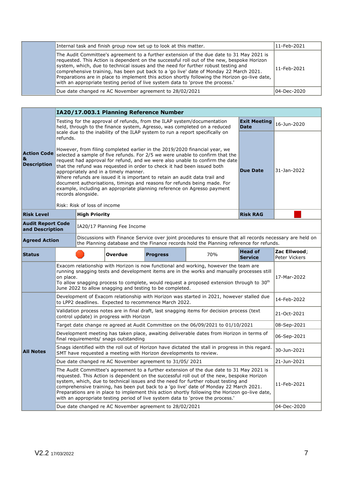| Internal task and finish group now set up to look at this matter.                                                                                                                                                                                                                                                                                                                                                                                                                                                                                          | 11-Feb-2021 |
|------------------------------------------------------------------------------------------------------------------------------------------------------------------------------------------------------------------------------------------------------------------------------------------------------------------------------------------------------------------------------------------------------------------------------------------------------------------------------------------------------------------------------------------------------------|-------------|
| The Audit Committee's agreement to a further extension of the due date to 31 May 2021 is<br>requested. This Action is dependent on the successful roll out of the new, bespoke Horizon<br>system, which, due to technical issues and the need for further robust testing and<br>comprehensive training, has been put back to a 'go live' date of Monday 22 March 2021.<br>Preparations are in place to implement this action shortly following the Horizon go-live date,<br>with an appropriate testing period of live system data to 'prove the process.' | 11-Feb-2021 |
| Due date changed re AC November agreement to 28/02/2021                                                                                                                                                                                                                                                                                                                                                                                                                                                                                                    | 04-Dec-2020 |

|                                               |           | IA20/17.003.1 Planning Reference Number                                                                                                                                                                                                                                                                                                                                                                                                                                                                                                                                                                                                                                                                                                     |                             |                                                                   |                                                                                                                                                                                                                                                                                                                                                                                                                                                                                                                                                            |                                    |                               |  |  |  |  |
|-----------------------------------------------|-----------|---------------------------------------------------------------------------------------------------------------------------------------------------------------------------------------------------------------------------------------------------------------------------------------------------------------------------------------------------------------------------------------------------------------------------------------------------------------------------------------------------------------------------------------------------------------------------------------------------------------------------------------------------------------------------------------------------------------------------------------------|-----------------------------|-------------------------------------------------------------------|------------------------------------------------------------------------------------------------------------------------------------------------------------------------------------------------------------------------------------------------------------------------------------------------------------------------------------------------------------------------------------------------------------------------------------------------------------------------------------------------------------------------------------------------------------|------------------------------------|-------------------------------|--|--|--|--|
|                                               |           |                                                                                                                                                                                                                                                                                                                                                                                                                                                                                                                                                                                                                                                                                                                                             |                             |                                                                   | Testing for the approval of refunds, from the ILAP system/documentation<br>held, through to the finance system, Agresso, was completed on a reduced                                                                                                                                                                                                                                                                                                                                                                                                        | <b>Exit Meeting</b><br><b>Date</b> | 16-Jun-2020                   |  |  |  |  |
| <b>Action Code</b><br>&<br><b>Description</b> | refunds.  | scale due to the inability of the ILAP system to run a report specifically on<br>However, from filing completed earlier in the 2019/2020 financial year, we<br>selected a sample of five refunds. For 2/5 we were unable to confirm that the<br>request had approval for refund, and we were also unable to confirm the date<br>that the refund was requested in order to check it had been issued both<br>appropriately and in a timely manner.<br>Where refunds are issued it is important to retain an audit data trail and<br>document authorisations, timings and reasons for refunds being made. For<br>example, including an appropriate planning reference on Agresso payment<br>records alongside.<br>Risk: Risk of loss of income | <b>Due Date</b>             | 31-Jan-2022                                                       |                                                                                                                                                                                                                                                                                                                                                                                                                                                                                                                                                            |                                    |                               |  |  |  |  |
| <b>Risk Level</b>                             |           | <b>High Priority</b>                                                                                                                                                                                                                                                                                                                                                                                                                                                                                                                                                                                                                                                                                                                        |                             |                                                                   |                                                                                                                                                                                                                                                                                                                                                                                                                                                                                                                                                            | <b>Risk RAG</b>                    |                               |  |  |  |  |
| <b>Audit Report Code</b><br>and Description   |           |                                                                                                                                                                                                                                                                                                                                                                                                                                                                                                                                                                                                                                                                                                                                             | IA20/17 Planning Fee Income |                                                                   |                                                                                                                                                                                                                                                                                                                                                                                                                                                                                                                                                            |                                    |                               |  |  |  |  |
| <b>Agreed Action</b>                          |           |                                                                                                                                                                                                                                                                                                                                                                                                                                                                                                                                                                                                                                                                                                                                             |                             |                                                                   | Discussions with Finance Service over joint procedures to ensure that all records necessary are held on<br>the Planning database and the Finance records hold the Planning reference for refunds.                                                                                                                                                                                                                                                                                                                                                          |                                    |                               |  |  |  |  |
| <b>Status</b>                                 |           |                                                                                                                                                                                                                                                                                                                                                                                                                                                                                                                                                                                                                                                                                                                                             | <b>Overdue</b>              | <b>Progress</b>                                                   | 70%                                                                                                                                                                                                                                                                                                                                                                                                                                                                                                                                                        | <b>Head of</b><br><b>Service</b>   | Zac Ellwood;<br>Peter Vickers |  |  |  |  |
|                                               | on place. |                                                                                                                                                                                                                                                                                                                                                                                                                                                                                                                                                                                                                                                                                                                                             |                             | June 2022 to allow snagging and testing to be completed.          | Exacom relationship with Horizon is now functional and working, however the team are<br>running snagging tests and development items are in the works and manually processes still<br>To allow snagging process to complete, would request a proposed extension through to $30th$                                                                                                                                                                                                                                                                          |                                    | 17-Mar-2022                   |  |  |  |  |
|                                               |           |                                                                                                                                                                                                                                                                                                                                                                                                                                                                                                                                                                                                                                                                                                                                             |                             | to LPP2 deadlines. Expected to recommence March 2022.             | Development of Exacom relationship with Horizon was started in 2021, however stalled due                                                                                                                                                                                                                                                                                                                                                                                                                                                                   |                                    | 14-Feb-2022                   |  |  |  |  |
|                                               |           | Validation process notes are in final draft, last snagging items for decision process (text<br>control update) in progress with Horizon                                                                                                                                                                                                                                                                                                                                                                                                                                                                                                                                                                                                     | 21-Oct-2021                 |                                                                   |                                                                                                                                                                                                                                                                                                                                                                                                                                                                                                                                                            |                                    |                               |  |  |  |  |
|                                               |           |                                                                                                                                                                                                                                                                                                                                                                                                                                                                                                                                                                                                                                                                                                                                             |                             |                                                                   | Target date change re agreed at Audit Committee on the 06/09/2021 to 01/10/2021                                                                                                                                                                                                                                                                                                                                                                                                                                                                            |                                    | 08-Sep-2021                   |  |  |  |  |
|                                               |           | Development meeting has taken place, awaiting deliverable dates from Horizon in terms of<br>final requirements/ snags outstanding                                                                                                                                                                                                                                                                                                                                                                                                                                                                                                                                                                                                           |                             |                                                                   |                                                                                                                                                                                                                                                                                                                                                                                                                                                                                                                                                            |                                    |                               |  |  |  |  |
| <b>All Notes</b>                              |           |                                                                                                                                                                                                                                                                                                                                                                                                                                                                                                                                                                                                                                                                                                                                             |                             | SMT have requested a meeting with Horizon developments to review. | Snags identified with the roll out of Horizon have dictated the stall in progress in this regard.                                                                                                                                                                                                                                                                                                                                                                                                                                                          |                                    | 30-Jun-2021                   |  |  |  |  |
|                                               |           |                                                                                                                                                                                                                                                                                                                                                                                                                                                                                                                                                                                                                                                                                                                                             |                             | Due date changed re AC November agreement to 31/05/2021           |                                                                                                                                                                                                                                                                                                                                                                                                                                                                                                                                                            |                                    | 21-Jun-2021                   |  |  |  |  |
|                                               |           |                                                                                                                                                                                                                                                                                                                                                                                                                                                                                                                                                                                                                                                                                                                                             |                             |                                                                   | The Audit Committee's agreement to a further extension of the due date to 31 May 2021 is<br>requested. This Action is dependent on the successful roll out of the new, bespoke Horizon<br>system, which, due to technical issues and the need for further robust testing and<br>comprehensive training, has been put back to a 'go live' date of Monday 22 March 2021.<br>Preparations are in place to implement this action shortly following the Horizon go-live date,<br>with an appropriate testing period of live system data to 'prove the process.' |                                    | 11-Feb-2021                   |  |  |  |  |
|                                               |           |                                                                                                                                                                                                                                                                                                                                                                                                                                                                                                                                                                                                                                                                                                                                             |                             | Due date changed re AC November agreement to 28/02/2021           |                                                                                                                                                                                                                                                                                                                                                                                                                                                                                                                                                            |                                    | 04-Dec-2020                   |  |  |  |  |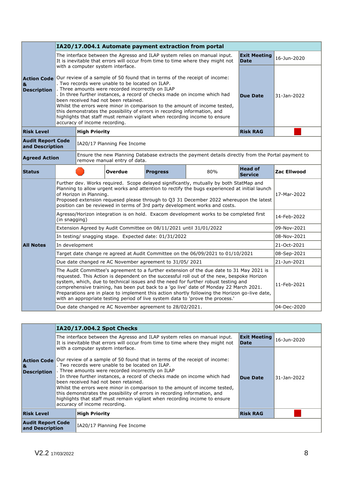|                                               | IA20/17.004.1 Automate payment extraction from portal                                                                                                                                                                                                                                                                                                                                                                                                                                                                                                                              |                                                                                                                                                                                                                                                                                                                                                                                              |                                   |                                                                    |                                                                                                                                                                                                                                                                                                                                                                                                                                                                                                                                                            |                                    |             |  |  |  |  |
|-----------------------------------------------|------------------------------------------------------------------------------------------------------------------------------------------------------------------------------------------------------------------------------------------------------------------------------------------------------------------------------------------------------------------------------------------------------------------------------------------------------------------------------------------------------------------------------------------------------------------------------------|----------------------------------------------------------------------------------------------------------------------------------------------------------------------------------------------------------------------------------------------------------------------------------------------------------------------------------------------------------------------------------------------|-----------------------------------|--------------------------------------------------------------------|------------------------------------------------------------------------------------------------------------------------------------------------------------------------------------------------------------------------------------------------------------------------------------------------------------------------------------------------------------------------------------------------------------------------------------------------------------------------------------------------------------------------------------------------------------|------------------------------------|-------------|--|--|--|--|
|                                               |                                                                                                                                                                                                                                                                                                                                                                                                                                                                                                                                                                                    |                                                                                                                                                                                                                                                                                                                                                                                              | with a computer system interface. |                                                                    | The interface between the Agresso and ILAP system relies on manual input.<br>It is inevitable that errors will occur from time to time where they might not                                                                                                                                                                                                                                                                                                                                                                                                | <b>Exit Meeting</b><br><b>Date</b> | 16-Jun-2020 |  |  |  |  |
| <b>Action Code</b><br>&<br><b>Description</b> | Our review of a sample of 50 found that in terms of the receipt of income:<br>. Two records were unable to be located on ILAP.<br>. Three amounts were recorded incorrectly on ILAP<br>. In three further instances, a record of checks made on income which had<br>been received had not been retained.<br>Whilst the errors were minor in comparison to the amount of income tested,<br>this demonstrates the possibility of errors in recording information, and<br>highlights that staff must remain vigilant when recording income to ensure<br>accuracy of income recording. | <b>Due Date</b>                                                                                                                                                                                                                                                                                                                                                                              | 31-Jan-2022                       |                                                                    |                                                                                                                                                                                                                                                                                                                                                                                                                                                                                                                                                            |                                    |             |  |  |  |  |
| <b>Risk Level</b>                             |                                                                                                                                                                                                                                                                                                                                                                                                                                                                                                                                                                                    | <b>High Priority</b>                                                                                                                                                                                                                                                                                                                                                                         |                                   |                                                                    |                                                                                                                                                                                                                                                                                                                                                                                                                                                                                                                                                            | <b>Risk RAG</b>                    |             |  |  |  |  |
| <b>Audit Report Code</b><br>and Description   |                                                                                                                                                                                                                                                                                                                                                                                                                                                                                                                                                                                    |                                                                                                                                                                                                                                                                                                                                                                                              | IA20/17 Planning Fee Income       |                                                                    |                                                                                                                                                                                                                                                                                                                                                                                                                                                                                                                                                            |                                    |             |  |  |  |  |
|                                               | Ensure the new Planning Database extracts the payment details directly from the Portal payment to<br><b>Agreed Action</b><br>remove manual entry of data.                                                                                                                                                                                                                                                                                                                                                                                                                          |                                                                                                                                                                                                                                                                                                                                                                                              |                                   |                                                                    |                                                                                                                                                                                                                                                                                                                                                                                                                                                                                                                                                            |                                    |             |  |  |  |  |
| <b>Status</b>                                 |                                                                                                                                                                                                                                                                                                                                                                                                                                                                                                                                                                                    |                                                                                                                                                                                                                                                                                                                                                                                              | Overdue                           | <b>Progress</b>                                                    | 80%                                                                                                                                                                                                                                                                                                                                                                                                                                                                                                                                                        | <b>Head of</b><br><b>Service</b>   | Zac Ellwood |  |  |  |  |
|                                               |                                                                                                                                                                                                                                                                                                                                                                                                                                                                                                                                                                                    | Further dev. Works required. Scope delayed significantly, mutually by both StatMap and<br>Planning to allow urgent works and attention to rectify the bugs experienced at initial launch<br>of Horizon in Planning.<br>Proposed extension requesed please through to Q3 31 December 2022 whereupon the latest<br>position can be reviewed in terms of 3rd party development works and costs. |                                   |                                                                    |                                                                                                                                                                                                                                                                                                                                                                                                                                                                                                                                                            |                                    |             |  |  |  |  |
|                                               | Agresso/Horizon integration is on hold. Exacom development works to be completed first<br>(in snagging)                                                                                                                                                                                                                                                                                                                                                                                                                                                                            | 14-Feb-2022                                                                                                                                                                                                                                                                                                                                                                                  |                                   |                                                                    |                                                                                                                                                                                                                                                                                                                                                                                                                                                                                                                                                            |                                    |             |  |  |  |  |
|                                               |                                                                                                                                                                                                                                                                                                                                                                                                                                                                                                                                                                                    |                                                                                                                                                                                                                                                                                                                                                                                              |                                   | Extension Agreed by Audit Committee on 08/11/2021 until 31/01/2022 |                                                                                                                                                                                                                                                                                                                                                                                                                                                                                                                                                            |                                    | 09-Nov-2021 |  |  |  |  |
|                                               |                                                                                                                                                                                                                                                                                                                                                                                                                                                                                                                                                                                    |                                                                                                                                                                                                                                                                                                                                                                                              |                                   | In testing/ snagging stage. Expected date: 01/31/2022              |                                                                                                                                                                                                                                                                                                                                                                                                                                                                                                                                                            |                                    | 08-Nov-2021 |  |  |  |  |
| <b>All Notes</b>                              | In development                                                                                                                                                                                                                                                                                                                                                                                                                                                                                                                                                                     |                                                                                                                                                                                                                                                                                                                                                                                              |                                   |                                                                    |                                                                                                                                                                                                                                                                                                                                                                                                                                                                                                                                                            |                                    | 21-Oct-2021 |  |  |  |  |
|                                               |                                                                                                                                                                                                                                                                                                                                                                                                                                                                                                                                                                                    |                                                                                                                                                                                                                                                                                                                                                                                              |                                   |                                                                    | Target date change re agreed at Audit Committee on the 06/09/2021 to 01/10/2021                                                                                                                                                                                                                                                                                                                                                                                                                                                                            |                                    | 08-Sep-2021 |  |  |  |  |
|                                               |                                                                                                                                                                                                                                                                                                                                                                                                                                                                                                                                                                                    |                                                                                                                                                                                                                                                                                                                                                                                              |                                   | Due date changed re AC November agreement to 31/05/2021            |                                                                                                                                                                                                                                                                                                                                                                                                                                                                                                                                                            |                                    | 21-Jun-2021 |  |  |  |  |
|                                               |                                                                                                                                                                                                                                                                                                                                                                                                                                                                                                                                                                                    |                                                                                                                                                                                                                                                                                                                                                                                              |                                   |                                                                    | The Audit Committee's agreement to a further extension of the due date to 31 May 2021 is<br>requested. This Action is dependent on the successful roll out of the new, bespoke Horizon<br>system, which, due to technical issues and the need for further robust testing and<br>comprehensive training, has been put back to a 'go live' date of Monday 22 March 2021.<br>Preparations are in place to implement this action shortly following the Horizon go-live date,<br>with an appropriate testing period of live system data to 'prove the process.' |                                    | 11-Feb-2021 |  |  |  |  |
|                                               |                                                                                                                                                                                                                                                                                                                                                                                                                                                                                                                                                                                    |                                                                                                                                                                                                                                                                                                                                                                                              |                                   | Due date changed re AC November agreement to 28/02/2021.           |                                                                                                                                                                                                                                                                                                                                                                                                                                                                                                                                                            |                                    | 04-Dec-2020 |  |  |  |  |

|                                                |  | IA20/17.004.2 Spot Checks                                                                                                                                                                                                                                                                                                                                                                                                                                                                                                                                                                                               |                                    |             |  |  |  |  |  |
|------------------------------------------------|--|-------------------------------------------------------------------------------------------------------------------------------------------------------------------------------------------------------------------------------------------------------------------------------------------------------------------------------------------------------------------------------------------------------------------------------------------------------------------------------------------------------------------------------------------------------------------------------------------------------------------------|------------------------------------|-------------|--|--|--|--|--|
|                                                |  | The interface between the Agresso and ILAP system relies on manual input.<br>It is inevitable that errors will occur from time to time where they might not                                                                                                                                                                                                                                                                                                                                                                                                                                                             | <b>Exit Meeting</b><br><b>Date</b> | 16-Jun-2020 |  |  |  |  |  |
| <b>Action Code</b><br> &<br><b>Description</b> |  | with a computer system interface.<br>Our review of a sample of 50 found that in terms of the receipt of income:<br>. Two records were unable to be located on ILAP.<br>. Three amounts were recorded incorrectly on ILAP<br>. In three further instances, a record of checks made on income which had<br>been received had not been retained.<br>Whilst the errors were minor in comparison to the amount of income tested,<br>this demonstrates the possibility of errors in recording information, and<br>highlights that staff must remain vigilant when recording income to ensure<br>accuracy of income recording. | Due Date                           | 31-Jan-2022 |  |  |  |  |  |
| <b>Risk Level</b>                              |  | <b>High Priority</b>                                                                                                                                                                                                                                                                                                                                                                                                                                                                                                                                                                                                    | <b>Risk RAG</b>                    |             |  |  |  |  |  |
| <b>Audit Report Code</b><br>and Description    |  | IA20/17 Planning Fee Income                                                                                                                                                                                                                                                                                                                                                                                                                                                                                                                                                                                             |                                    |             |  |  |  |  |  |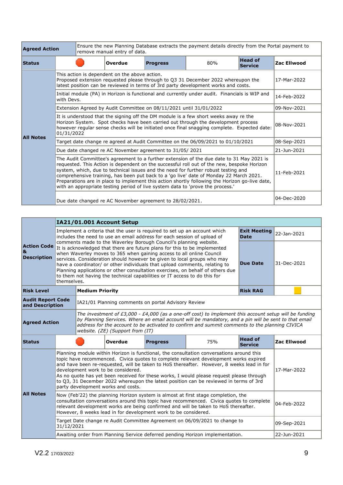| <b>Agreed Action</b> |                                                                                                                                                                                                                                                                                                                                                                                                                                                                                                                                                            | remove manual entry of data.                                                                                                                                                     | Ensure the new Planning Database extracts the payment details directly from the Portal payment to |                                                                    |                                                                                                                                                                        |                                  |                    |
|----------------------|------------------------------------------------------------------------------------------------------------------------------------------------------------------------------------------------------------------------------------------------------------------------------------------------------------------------------------------------------------------------------------------------------------------------------------------------------------------------------------------------------------------------------------------------------------|----------------------------------------------------------------------------------------------------------------------------------------------------------------------------------|---------------------------------------------------------------------------------------------------|--------------------------------------------------------------------|------------------------------------------------------------------------------------------------------------------------------------------------------------------------|----------------------------------|--------------------|
| <b>Status</b>        |                                                                                                                                                                                                                                                                                                                                                                                                                                                                                                                                                            |                                                                                                                                                                                  | <b>Overdue</b>                                                                                    | <b>Progress</b>                                                    | 80%                                                                                                                                                                    | <b>Head of</b><br><b>Service</b> | <b>Zac Ellwood</b> |
|                      |                                                                                                                                                                                                                                                                                                                                                                                                                                                                                                                                                            |                                                                                                                                                                                  | This action is dependent on the above action.                                                     |                                                                    | Proposed extension requested please through to Q3 31 December 2022 whereupon the<br>latest position can be reviewed in terms of 3rd party development works and costs. |                                  | 17-Mar-2022        |
|                      | with Devs.                                                                                                                                                                                                                                                                                                                                                                                                                                                                                                                                                 |                                                                                                                                                                                  |                                                                                                   |                                                                    | Initial module (PA) in Horizon is functional and currently under audit. Financials is WIP and                                                                          |                                  | 14-Feb-2022        |
|                      |                                                                                                                                                                                                                                                                                                                                                                                                                                                                                                                                                            |                                                                                                                                                                                  |                                                                                                   | Extension Agreed by Audit Committee on 08/11/2021 until 31/01/2022 |                                                                                                                                                                        |                                  | 09-Nov-2021        |
| <b>All Notes</b>     | It is understood that the signing off the DM module is a few short weeks away re the<br>01/31/2022                                                                                                                                                                                                                                                                                                                                                                                                                                                         | Horizon System. Spot checks have been carried out through the development process<br>however regular sense checks will be initiated once final snagging complete. Expected date: | 08-Nov-2021                                                                                       |                                                                    |                                                                                                                                                                        |                                  |                    |
|                      | Target date change re agreed at Audit Committee on the 06/09/2021 to 01/10/2021                                                                                                                                                                                                                                                                                                                                                                                                                                                                            | 08-Sep-2021                                                                                                                                                                      |                                                                                                   |                                                                    |                                                                                                                                                                        |                                  |                    |
|                      | Due date changed re AC November agreement to 31/05/2021                                                                                                                                                                                                                                                                                                                                                                                                                                                                                                    | 21-Jun-2021                                                                                                                                                                      |                                                                                                   |                                                                    |                                                                                                                                                                        |                                  |                    |
|                      | The Audit Committee's agreement to a further extension of the due date to 31 May 2021 is<br>requested. This Action is dependent on the successful roll out of the new, bespoke Horizon<br>system, which, due to technical issues and the need for further robust testing and<br>comprehensive training, has been put back to a 'go live' date of Monday 22 March 2021.<br>Preparations are in place to implement this action shortly following the Horizon go-live date,<br>with an appropriate testing period of live system data to 'prove the process.' | 11-Feb-2021                                                                                                                                                                      |                                                                                                   |                                                                    |                                                                                                                                                                        |                                  |                    |
|                      |                                                                                                                                                                                                                                                                                                                                                                                                                                                                                                                                                            |                                                                                                                                                                                  |                                                                                                   | Due date changed re AC November agreement to 28/02/2021.           |                                                                                                                                                                        |                                  | 04-Dec-2020        |

|                                               |                                                                                                                                                                                                                                                                                                                                                                                                                                                                                                                                                                                  |                                                                                                                                                                                                                                                                                                                                                                                                                                                                                                                                                               | IA21/01.001 Account Setup |                                                                                                                                                      |                                                                               |                                    |             |
|-----------------------------------------------|----------------------------------------------------------------------------------------------------------------------------------------------------------------------------------------------------------------------------------------------------------------------------------------------------------------------------------------------------------------------------------------------------------------------------------------------------------------------------------------------------------------------------------------------------------------------------------|---------------------------------------------------------------------------------------------------------------------------------------------------------------------------------------------------------------------------------------------------------------------------------------------------------------------------------------------------------------------------------------------------------------------------------------------------------------------------------------------------------------------------------------------------------------|---------------------------|------------------------------------------------------------------------------------------------------------------------------------------------------|-------------------------------------------------------------------------------|------------------------------------|-------------|
|                                               |                                                                                                                                                                                                                                                                                                                                                                                                                                                                                                                                                                                  |                                                                                                                                                                                                                                                                                                                                                                                                                                                                                                                                                               |                           | Implement a criteria that the user is required to set up an account which<br>includes the need to use an email address for each session of upload of |                                                                               | <b>Exit Meeting</b><br><b>Date</b> | 22-Jan-2021 |
| <b>Action Code</b><br>&<br><b>Description</b> | comments made to the Waverley Borough Council's planning website.<br>It is acknowledged that there are future plans for this to be implemented<br>when Waverley moves to 365 when gaining access to all online Council<br>services. Consideration should however be given to local groups who may<br><b>Due Date</b><br>have a coordinator/ or other individuals that upload comments, relating to<br>Planning applications or other consultation exercises, on behalf of others due<br>to them not having the technical capabilities or IT access to do this for<br>themselves. |                                                                                                                                                                                                                                                                                                                                                                                                                                                                                                                                                               |                           |                                                                                                                                                      |                                                                               |                                    | 31-Dec-2021 |
| <b>Risk Level</b>                             |                                                                                                                                                                                                                                                                                                                                                                                                                                                                                                                                                                                  | <b>Medium Priority</b>                                                                                                                                                                                                                                                                                                                                                                                                                                                                                                                                        |                           |                                                                                                                                                      |                                                                               | <b>Risk RAG</b>                    |             |
| <b>Audit Report Code</b><br>and Description   |                                                                                                                                                                                                                                                                                                                                                                                                                                                                                                                                                                                  |                                                                                                                                                                                                                                                                                                                                                                                                                                                                                                                                                               |                           | IA21/01 Planning comments on portal Advisory Review                                                                                                  |                                                                               |                                    |             |
|                                               | The investment of £3,000 - £4,000 (as a one-off cost) to implement this account setup will be funding<br>by Planning Services. Where an email account will be mandatory, and a pin will be sent to that email<br><b>Agreed Action</b><br>address for the account to be activated to confirm and summit comments to the planning CIVICA<br>website. (ZE) (Support from (IT)                                                                                                                                                                                                       |                                                                                                                                                                                                                                                                                                                                                                                                                                                                                                                                                               |                           |                                                                                                                                                      |                                                                               |                                    |             |
| <b>Status</b>                                 |                                                                                                                                                                                                                                                                                                                                                                                                                                                                                                                                                                                  |                                                                                                                                                                                                                                                                                                                                                                                                                                                                                                                                                               | Overdue                   | <b>Progress</b>                                                                                                                                      | 75%                                                                           | <b>Head of</b><br><b>Service</b>   | Zac Ellwood |
|                                               |                                                                                                                                                                                                                                                                                                                                                                                                                                                                                                                                                                                  | Planning module within Horizon is functional, the consultation conversations around this<br>topic have recommenced. Civica quotes to complete relevant development works expired<br>and have been re-requested, will be taken to HoS thereafter. However, 8 weeks lead in for<br>development work to be considered.<br>17-Mar-2022<br>As no quote has yet been received for these works, I would please request please through<br>to Q3, 31 December 2022 whereupon the latest position can be reviewed in terms of 3rd<br>party development works and costs. |                           |                                                                                                                                                      |                                                                               |                                    |             |
| <b>All Notes</b>                              | Now (Feb'22) the planning Horizon system is almost at first stage completion, the<br>consultation conversations around this topic have recommenced. Civica quotes to complete<br>relevant development works are being confirmed and will be taken to HoS thereafter.<br>However, 8 weeks lead in for development work to be considered.                                                                                                                                                                                                                                          |                                                                                                                                                                                                                                                                                                                                                                                                                                                                                                                                                               |                           |                                                                                                                                                      |                                                                               |                                    | 04-Feb-2022 |
|                                               | 31/12/2021                                                                                                                                                                                                                                                                                                                                                                                                                                                                                                                                                                       |                                                                                                                                                                                                                                                                                                                                                                                                                                                                                                                                                               |                           |                                                                                                                                                      | Target Date change re Audit Committee Agreement on 06/09/2021 to change to    |                                    | 09-Sep-2021 |
|                                               |                                                                                                                                                                                                                                                                                                                                                                                                                                                                                                                                                                                  |                                                                                                                                                                                                                                                                                                                                                                                                                                                                                                                                                               |                           |                                                                                                                                                      | Awaiting order from Planning Service deferred pending Horizon implementation. |                                    | 22-Jun-2021 |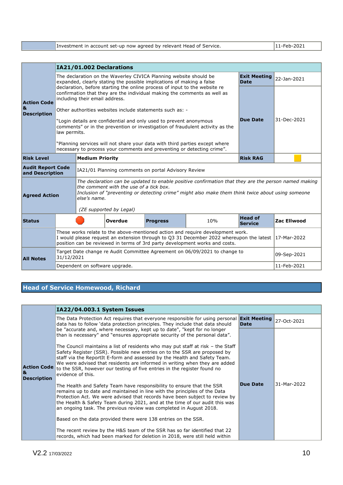|  | Investment in account set-up now agreed by relevant Head of Service. | $ 11-Feb-2021$ |
|--|----------------------------------------------------------------------|----------------|
|--|----------------------------------------------------------------------|----------------|

|                                               | IA21/01.002 Declarations                                 |                                                                                                                                                                                          |                                         |                                                     |                                                                                                                                                                                                                                                                          |                |                    |  |
|-----------------------------------------------|----------------------------------------------------------|------------------------------------------------------------------------------------------------------------------------------------------------------------------------------------------|-----------------------------------------|-----------------------------------------------------|--------------------------------------------------------------------------------------------------------------------------------------------------------------------------------------------------------------------------------------------------------------------------|----------------|--------------------|--|
|                                               |                                                          | The declaration on the Waverley CIVICA Planning website should be<br><b>Exit Meeting</b><br>expanded, clearly stating the possible implications of making a false<br><b>Date</b>         |                                         |                                                     |                                                                                                                                                                                                                                                                          |                |                    |  |
| <b>Action Code</b><br>&<br><b>Description</b> |                                                          | declaration, before starting the online process of input to the website re<br>confirmation that they are the individual making the comments as well as<br>including their email address. |                                         |                                                     |                                                                                                                                                                                                                                                                          |                |                    |  |
|                                               | Other authorities websites include statements such as: - |                                                                                                                                                                                          |                                         |                                                     |                                                                                                                                                                                                                                                                          |                |                    |  |
|                                               |                                                          | <b>Due Date</b><br>"Login details are confidential and only used to prevent anonymous<br>comments" or in the prevention or investigation of fraudulent activity as the<br>law permits.   |                                         |                                                     |                                                                                                                                                                                                                                                                          |                |                    |  |
|                                               |                                                          |                                                                                                                                                                                          |                                         |                                                     | "Planning services will not share your data with third parties except where<br>necessary to process your comments and preventing or detecting crime".                                                                                                                    |                |                    |  |
| <b>Risk Level</b>                             | <b>Medium Priority</b><br><b>Risk RAG</b>                |                                                                                                                                                                                          |                                         |                                                     |                                                                                                                                                                                                                                                                          |                |                    |  |
| <b>Audit Report Code</b><br>and Description   |                                                          |                                                                                                                                                                                          |                                         | IA21/01 Planning comments on portal Advisory Review |                                                                                                                                                                                                                                                                          |                |                    |  |
| <b>Agreed Action</b>                          |                                                          | else's name.                                                                                                                                                                             | the comment with the use of a tick box. |                                                     | The declaration can be updated to enable positive confirmation that they are the person named making<br>Inclusion of "preventing or detecting crime" might also make them think twice about using someone                                                                |                |                    |  |
|                                               |                                                          |                                                                                                                                                                                          | (ZE supported by Legal)                 |                                                     |                                                                                                                                                                                                                                                                          | <b>Head of</b> |                    |  |
| <b>Status</b>                                 |                                                          |                                                                                                                                                                                          | Overdue                                 | <b>Progress</b>                                     | 10%                                                                                                                                                                                                                                                                      | Service        | <b>Zac Ellwood</b> |  |
|                                               |                                                          |                                                                                                                                                                                          |                                         |                                                     | These works relate to the above-mentioned action and require development work.<br>I would please request an extension through to Q3 31 December 2022 whereupon the latest $ 17$ -Mar-2022<br>position can be reviewed in terms of 3rd party development works and costs. |                |                    |  |
| <b>All Notes</b>                              | 31/12/2021                                               |                                                                                                                                                                                          |                                         |                                                     | Target Date change re Audit Committee Agreement on 06/09/2021 to change to                                                                                                                                                                                               |                | 09-Sep-2021        |  |
|                                               |                                                          | Dependent on software upgrade.                                                                                                                                                           |                                         |                                                     |                                                                                                                                                                                                                                                                          |                | 11-Feb-2021        |  |

#### **Head of Service Homewood, Richard**

#### **Action Code & Description IA22/04.003.1 System Issues** The Data Protection Act requires that everyone responsible for using personal **Exit Meeting**  data has to follow 'data protection principles. They include that data should be "accurate and, where necessary, kept up to date", "kept for no longer than is necessary" and "ensures appropriate security of the personal data". The Council maintains a list of residents who may put staff at risk – the Staff Safety Register (SSR). Possible new entries on to the SSR are proposed by staff via the ReportIt E-form and assessed by the Health and Safety Team. We were advised that residents are informed in writing when they are added to the SSR, however our testing of five entries in the register found no evidence of this. The Health and Safety Team have responsibility to ensure that the SSR remains up to date and maintained in line with the principles of the Data Protection Act. We were advised that records have been subject to review by the Health & Safety Team during 2021, and at the time of our audit this was an ongoing task. The previous review was completed in August 2018. Based on the data provided there were 138 entries on the SSR. The recent review by the H&S team of the SSR has so far identified that 22 records, which had been marked for deletion in 2018, were still held within **Exit Meeting** 27-Oct-2021 **Due Date** 31-Mar-2022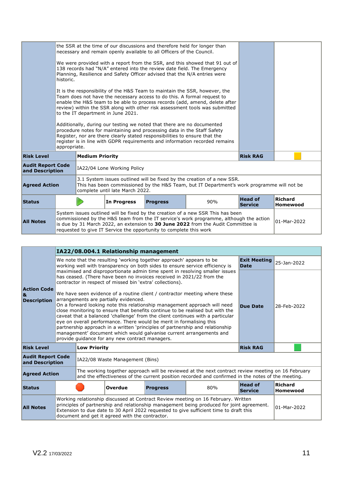|                                             |                                                                                                                                                                                                                                                                                                                                                           |                                                                                                                                                                                                                                     |                             | the SSR at the time of our discussions and therefore held for longer than<br>necessary and remain openly available to all Officers of the Council. |  |                 |                            |  |
|---------------------------------------------|-----------------------------------------------------------------------------------------------------------------------------------------------------------------------------------------------------------------------------------------------------------------------------------------------------------------------------------------------------------|-------------------------------------------------------------------------------------------------------------------------------------------------------------------------------------------------------------------------------------|-----------------------------|----------------------------------------------------------------------------------------------------------------------------------------------------|--|-----------------|----------------------------|--|
|                                             | historic.                                                                                                                                                                                                                                                                                                                                                 | We were provided with a report from the SSR, and this showed that 91 out of<br>138 records had "N/A" entered into the review date field. The Emergency<br>Planning, Resilience and Safety Officer advised that the N/A entries were |                             |                                                                                                                                                    |  |                 |                            |  |
|                                             | It is the responsibility of the H&S Team to maintain the SSR, however, the<br>Team does not have the necessary access to do this. A formal request to<br>enable the H&S team to be able to process records (add, amend, delete after<br>review) within the SSR along with other risk assessment tools was submitted<br>to the IT department in June 2021. |                                                                                                                                                                                                                                     |                             |                                                                                                                                                    |  |                 |                            |  |
|                                             | Additionally, during our testing we noted that there are no documented<br>procedure notes for maintaining and processing data in the Staff Safety<br>Register, nor are there clearly stated responsibilities to ensure that the<br>register is in line with GDPR reguirements and information recorded remains<br>appropriate.                            |                                                                                                                                                                                                                                     |                             |                                                                                                                                                    |  |                 |                            |  |
| <b>Risk Level</b>                           |                                                                                                                                                                                                                                                                                                                                                           | <b>Medium Priority</b>                                                                                                                                                                                                              |                             |                                                                                                                                                    |  | <b>Risk RAG</b> |                            |  |
| <b>Audit Report Code</b><br>and Description |                                                                                                                                                                                                                                                                                                                                                           |                                                                                                                                                                                                                                     | IA22/04 Lone Working Policy |                                                                                                                                                    |  |                 |                            |  |
|                                             | 3.1 System issues outlined will be fixed by the creation of a new SSR.<br>This has been commissioned by the H&S Team, but IT Department's work programme will not be<br><b>Agreed Action</b><br>complete until late March 2022.                                                                                                                           |                                                                                                                                                                                                                                     |                             |                                                                                                                                                    |  |                 |                            |  |
| <b>Status</b>                               |                                                                                                                                                                                                                                                                                                                                                           | <b>Head of</b><br>In Progress<br><b>Progress</b><br>90%<br><b>Service</b>                                                                                                                                                           |                             |                                                                                                                                                    |  |                 | <b>Richard</b><br>Homewood |  |
| <b>All Notes</b>                            | System issues outlined will be fixed by the creation of a new SSR This has been<br>commissioned by the H&S team from the IT service's work programme, although the action<br>is due by 31 March 2022, an extension to 30 June 2022 from the Audit Committee is<br>requested to give IT Service the opportunity to complete this work                      |                                                                                                                                                                                                                                     |                             |                                                                                                                                                    |  |                 | $01-Mar-2022$              |  |

|                                               |                                                                                                                                                                                                                                                                                                                             |                                                                                                                                                                                                                                                                                                                                                                                                                                                                                                                                                                                                                                                                                                                                                                                                                                                                                                | IA22/08.004.1 Relationship management |                                                                      |                                                                                                                                                                                                        |                                    |                            |  |
|-----------------------------------------------|-----------------------------------------------------------------------------------------------------------------------------------------------------------------------------------------------------------------------------------------------------------------------------------------------------------------------------|------------------------------------------------------------------------------------------------------------------------------------------------------------------------------------------------------------------------------------------------------------------------------------------------------------------------------------------------------------------------------------------------------------------------------------------------------------------------------------------------------------------------------------------------------------------------------------------------------------------------------------------------------------------------------------------------------------------------------------------------------------------------------------------------------------------------------------------------------------------------------------------------|---------------------------------------|----------------------------------------------------------------------|--------------------------------------------------------------------------------------------------------------------------------------------------------------------------------------------------------|------------------------------------|----------------------------|--|
|                                               |                                                                                                                                                                                                                                                                                                                             |                                                                                                                                                                                                                                                                                                                                                                                                                                                                                                                                                                                                                                                                                                                                                                                                                                                                                                |                                       | We note that the resulting 'working together approach' appears to be | working well with transparency on both sides to ensure service efficiency is                                                                                                                           | <b>Exit Meeting</b><br><b>Date</b> | 25-Jan-2022                |  |
| <b>Action Code</b><br>&<br><b>Description</b> |                                                                                                                                                                                                                                                                                                                             | maximised and disproportionate admin time spent in resolving smaller issues<br>has ceased. (There have been no invoices received in 2021/22 from the<br>contractor in respect of missed bin 'extra' collections).<br>We have seen evidence of a routine client / contractor meeting where these<br>arrangements are partially evidenced.<br>On a forward looking note this relationship management approach will need<br><b>Due Date</b><br>close monitoring to ensure that benefits continue to be realised but with the<br>caveat that a balanced 'challenge' from the client continues with a particular<br>eye on overall performance. There would be merit in formalising this<br>partnership approach in a written 'principles of partnership and relationship<br>management' document which would galvanise current arrangements and<br>provide quidance for any new contract managers. |                                       |                                                                      |                                                                                                                                                                                                        |                                    |                            |  |
| <b>Risk Level</b>                             |                                                                                                                                                                                                                                                                                                                             | <b>Low Priority</b>                                                                                                                                                                                                                                                                                                                                                                                                                                                                                                                                                                                                                                                                                                                                                                                                                                                                            |                                       |                                                                      |                                                                                                                                                                                                        | <b>Risk RAG</b>                    |                            |  |
| <b>Audit Report Code</b><br>and Description   |                                                                                                                                                                                                                                                                                                                             |                                                                                                                                                                                                                                                                                                                                                                                                                                                                                                                                                                                                                                                                                                                                                                                                                                                                                                | IA22/08 Waste Management (Bins)       |                                                                      |                                                                                                                                                                                                        |                                    |                            |  |
| <b>Agreed Action</b>                          |                                                                                                                                                                                                                                                                                                                             |                                                                                                                                                                                                                                                                                                                                                                                                                                                                                                                                                                                                                                                                                                                                                                                                                                                                                                |                                       |                                                                      | The working together approach will be reviewed at the next contract review meeting on 16 February<br>and the effectiveness of the current position recorded and confirmed in the notes of the meeting. |                                    |                            |  |
| <b>Status</b>                                 |                                                                                                                                                                                                                                                                                                                             | <b>Head of</b><br>80%<br><b>Overdue</b><br><b>Progress</b><br><b>Service</b>                                                                                                                                                                                                                                                                                                                                                                                                                                                                                                                                                                                                                                                                                                                                                                                                                   |                                       |                                                                      |                                                                                                                                                                                                        |                                    | <b>Richard</b><br>Homewood |  |
| <b>All Notes</b>                              | Working relationship discussed at Contract Review meeting on 16 February. Written<br>principles of partnership and relationship management being produced for joint agreement.<br>Extension to due date to 30 April 2022 requested to give sufficient time to draft this<br>document and get it agreed with the contractor. |                                                                                                                                                                                                                                                                                                                                                                                                                                                                                                                                                                                                                                                                                                                                                                                                                                                                                                |                                       |                                                                      |                                                                                                                                                                                                        | 01-Mar-2022                        |                            |  |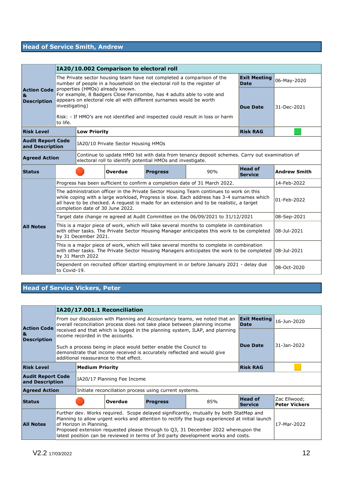# **Head of Service Smith, Andrew**

|                                               | IA20/10.002 Comparison to electoral roll                                                                                                                                           |                                                                                                                                                                                                                                                                                                                                     |                                                                              |                                                                          |                                                                                                                                                                                                      |                                    |             |  |  |
|-----------------------------------------------|------------------------------------------------------------------------------------------------------------------------------------------------------------------------------------|-------------------------------------------------------------------------------------------------------------------------------------------------------------------------------------------------------------------------------------------------------------------------------------------------------------------------------------|------------------------------------------------------------------------------|--------------------------------------------------------------------------|------------------------------------------------------------------------------------------------------------------------------------------------------------------------------------------------------|------------------------------------|-------------|--|--|
|                                               |                                                                                                                                                                                    |                                                                                                                                                                                                                                                                                                                                     |                                                                              | number of people in a household on the electoral roll to the register of | The Private sector housing team have not completed a comparison of the                                                                                                                               | <b>Exit Meeting</b><br><b>Date</b> | 06-May-2020 |  |  |
| <b>Action Code</b><br>&<br><b>Description</b> | to life.                                                                                                                                                                           | properties (HMOs) already known.<br>For example, 8 Badgers Close Farncombe, has 4 adults able to vote and<br>appears on electoral role all with different surnames would be worth<br>investigating)<br><b>Due Date</b><br>Risk: - If HMO's are not identified and inspected could result in loss or harm                            |                                                                              |                                                                          |                                                                                                                                                                                                      |                                    | 31-Dec-2021 |  |  |
| <b>Risk Level</b>                             |                                                                                                                                                                                    | <b>Low Priority</b>                                                                                                                                                                                                                                                                                                                 |                                                                              |                                                                          |                                                                                                                                                                                                      | <b>Risk RAG</b>                    |             |  |  |
| <b>Audit Report Code</b><br>and Description   | IA20/10 Private Sector Housing HMOs                                                                                                                                                |                                                                                                                                                                                                                                                                                                                                     |                                                                              |                                                                          |                                                                                                                                                                                                      |                                    |             |  |  |
|                                               | Continue to update HMO list with data from tenancy deposit schemes. Carry out examination of<br><b>Agreed Action</b><br>electoral roll to identify potential HMOs and investigate. |                                                                                                                                                                                                                                                                                                                                     |                                                                              |                                                                          |                                                                                                                                                                                                      |                                    |             |  |  |
| <b>Status</b>                                 |                                                                                                                                                                                    |                                                                                                                                                                                                                                                                                                                                     | <b>Head of</b><br><b>Progress</b><br>90%<br><b>Overdue</b><br><b>Service</b> |                                                                          |                                                                                                                                                                                                      |                                    |             |  |  |
|                                               | Progress has been sufficient to confirm a completion date of 31 March 2022.                                                                                                        |                                                                                                                                                                                                                                                                                                                                     | 14-Feb-2022                                                                  |                                                                          |                                                                                                                                                                                                      |                                    |             |  |  |
|                                               |                                                                                                                                                                                    | The administration officer in the Private Sector Housing Team continues to work on this<br>while coping with a large workload, Progress is slow. Each address has 3-4 surnames which<br>01-Feb-2022<br>all have to be checked. A request is made for an extension and to be realistic, a target<br>completion date of 30 June 2022. |                                                                              |                                                                          |                                                                                                                                                                                                      |                                    |             |  |  |
|                                               |                                                                                                                                                                                    | Target date change re agreed at Audit Committee on the 06/09/2021 to 31/12/2021                                                                                                                                                                                                                                                     |                                                                              |                                                                          |                                                                                                                                                                                                      |                                    |             |  |  |
| <b>All Notes</b>                              |                                                                                                                                                                                    | This is a major piece of work, which will take several months to complete in combination<br>with other tasks. The Private Sector Housing Manager anticipates this work to be completed<br>by 31 December 2021.                                                                                                                      |                                                                              |                                                                          |                                                                                                                                                                                                      |                                    |             |  |  |
|                                               |                                                                                                                                                                                    | by 31 March 2022                                                                                                                                                                                                                                                                                                                    |                                                                              |                                                                          | This is a major piece of work, which will take several months to complete in combination<br>with other tasks. The Private Sector Housing Managers anticipates the work to be completed   08-Jul-2021 |                                    |             |  |  |
|                                               | to Covid-19.                                                                                                                                                                       |                                                                                                                                                                                                                                                                                                                                     |                                                                              |                                                                          | Dependent on recruited officer starting employment in or before January 2021 - delay due                                                                                                             |                                    | 08-Oct-2020 |  |  |

**Head of Service Vickers, Peter**

|                                                                                                                                                                                       |                                                                                                                                                                                                                                                                                                                                                                                                               | IA20/17.001.1 Reconciliation                                          |                                                                              |                                                        |                 |                                    |                                      |
|---------------------------------------------------------------------------------------------------------------------------------------------------------------------------------------|---------------------------------------------------------------------------------------------------------------------------------------------------------------------------------------------------------------------------------------------------------------------------------------------------------------------------------------------------------------------------------------------------------------|-----------------------------------------------------------------------|------------------------------------------------------------------------------|--------------------------------------------------------|-----------------|------------------------------------|--------------------------------------|
| <b>Action Code</b>                                                                                                                                                                    | From our discussion with Planning and Accountancy teams, we noted that an<br>overall reconciliation process does not take place between planning income                                                                                                                                                                                                                                                       |                                                                       |                                                                              |                                                        |                 | <b>Exit Meeting</b><br><b>Date</b> | 16-Jun-2020                          |
| 8L<br><b>Description</b>                                                                                                                                                              |                                                                                                                                                                                                                                                                                                                                                                                                               | income recorded in the accounts.                                      | received and that which is logged in the planning system, ILAP, and planning |                                                        |                 |                                    |                                      |
| Such a process being in place would better enable the Council to<br>demonstrate that income received is accurately reflected and would give<br>additional reassurance to that effect. |                                                                                                                                                                                                                                                                                                                                                                                                               |                                                                       |                                                                              |                                                        | Due Date        | 31-Jan-2022                        |                                      |
| <b>Risk Level</b><br><b>Medium Priority</b>                                                                                                                                           |                                                                                                                                                                                                                                                                                                                                                                                                               |                                                                       |                                                                              |                                                        | <b>Risk RAG</b> |                                    |                                      |
| <b>Audit Report Code</b><br>IA20/17 Planning Fee Income<br>and Description                                                                                                            |                                                                                                                                                                                                                                                                                                                                                                                                               |                                                                       |                                                                              |                                                        |                 |                                    |                                      |
| <b>Agreed Action</b>                                                                                                                                                                  |                                                                                                                                                                                                                                                                                                                                                                                                               |                                                                       |                                                                              | Initiate reconciliation process using current systems. |                 |                                    |                                      |
| <b>Status</b>                                                                                                                                                                         |                                                                                                                                                                                                                                                                                                                                                                                                               | <b>Head of</b><br>Overdue<br>85%<br><b>Progress</b><br><b>Service</b> |                                                                              |                                                        |                 |                                    | Zac Ellwood;<br><b>Peter Vickers</b> |
| <b>All Notes</b>                                                                                                                                                                      | Further dev. Works required. Scope delayed significantly, mutually by both StatMap and<br>Planning to allow urgent works and attention to rectify the bugs experienced at initial launch<br>17-Mar-2022<br>of Horizon in Planning.<br>Proposed extension requested please through to Q3, 31 December 2022 whereupon the<br>latest position can be reviewed in terms of 3rd party development works and costs. |                                                                       |                                                                              |                                                        |                 |                                    |                                      |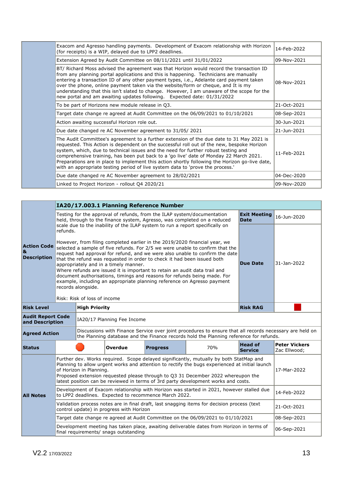| Exacom and Agresso handling payments. Development of Exacom relationship with Horizon<br>(for receipts) is a WIP, delayed due to LPP2 deadlines.                                                                                                                                                                                                                                                                                                                                                                                                           | 14-Feb-2022 |
|------------------------------------------------------------------------------------------------------------------------------------------------------------------------------------------------------------------------------------------------------------------------------------------------------------------------------------------------------------------------------------------------------------------------------------------------------------------------------------------------------------------------------------------------------------|-------------|
| Extension Agreed by Audit Committee on 08/11/2021 until 31/01/2022                                                                                                                                                                                                                                                                                                                                                                                                                                                                                         | 09-Nov-2021 |
| BT/ Richard Moss advised the agreement was that Horizon would record the transaction ID<br>from any planning portal applications and this is happening. Technicians are manually<br>entering a transaction ID of any other payment types, i.e., Adelante card payment taken<br>over the phone, online payment taken via the website/form or cheque, and It is my<br>understanding that this isn't slated to change. However, I am unaware of the scope for the<br>new portal and am awaiting updates following. Expected date: 01/31/2022                  | 08-Nov-2021 |
| To be part of Horizons new module release in Q3.                                                                                                                                                                                                                                                                                                                                                                                                                                                                                                           | 21-Oct-2021 |
| Target date change re agreed at Audit Committee on the 06/09/2021 to 01/10/2021                                                                                                                                                                                                                                                                                                                                                                                                                                                                            | 08-Sep-2021 |
| Action awaiting successful Horizon role out.                                                                                                                                                                                                                                                                                                                                                                                                                                                                                                               | 30-Jun-2021 |
| Due date changed re AC November agreement to 31/05/2021                                                                                                                                                                                                                                                                                                                                                                                                                                                                                                    | 21-Jun-2021 |
| The Audit Committee's agreement to a further extension of the due date to 31 May 2021 is<br>requested. This Action is dependent on the successful roll out of the new, bespoke Horizon<br>system, which, due to technical issues and the need for further robust testing and<br>comprehensive training, has been put back to a 'go live' date of Monday 22 March 2021.<br>Preparations are in place to implement this action shortly following the Horizon go-live date,<br>with an appropriate testing period of live system data to 'prove the process.' | 11-Feb-2021 |
| Due date changed re AC November agreement to 28/02/2021                                                                                                                                                                                                                                                                                                                                                                                                                                                                                                    | 04-Dec-2020 |
| Linked to Project Horizon - rollout Q4 2020/21                                                                                                                                                                                                                                                                                                                                                                                                                                                                                                             | 09-Nov-2020 |

|                                                                            |                                                                                                                                                                                                                                                                                                                                                                                                                                                                                                                                                                                                                                                            | IA20/17.003.1 Planning Reference Number |                                          |                 |                                                                                                                                                                                                   |                                    |                                      |  |  |
|----------------------------------------------------------------------------|------------------------------------------------------------------------------------------------------------------------------------------------------------------------------------------------------------------------------------------------------------------------------------------------------------------------------------------------------------------------------------------------------------------------------------------------------------------------------------------------------------------------------------------------------------------------------------------------------------------------------------------------------------|-----------------------------------------|------------------------------------------|-----------------|---------------------------------------------------------------------------------------------------------------------------------------------------------------------------------------------------|------------------------------------|--------------------------------------|--|--|
|                                                                            |                                                                                                                                                                                                                                                                                                                                                                                                                                                                                                                                                                                                                                                            |                                         |                                          |                 | Testing for the approval of refunds, from the ILAP system/documentation<br>held, through to the finance system, Agresso, was completed on a reduced                                               | <b>Exit Meeting</b><br><b>Date</b> | 16-Jun-2020                          |  |  |
|                                                                            | refunds.                                                                                                                                                                                                                                                                                                                                                                                                                                                                                                                                                                                                                                                   |                                         |                                          |                 | scale due to the inability of the ILAP system to run a report specifically on                                                                                                                     |                                    |                                      |  |  |
| <b>Action Code</b><br>&<br><b>Description</b>                              | However, from filing completed earlier in the 2019/2020 financial year, we<br>selected a sample of five refunds. For 2/5 we were unable to confirm that the<br>request had approval for refund, and we were also unable to confirm the date<br>that the refund was requested in order to check it had been issued both<br>appropriately and in a timely manner.<br>Where refunds are issued it is important to retain an audit data trail and<br>document authorisations, timings and reasons for refunds being made. For<br>example, including an appropriate planning reference on Agresso payment<br>records alongside.<br>Risk: Risk of loss of income | <b>Due Date</b>                         | 31-Jan-2022                              |                 |                                                                                                                                                                                                   |                                    |                                      |  |  |
| <b>Risk Level</b>                                                          | <b>High Priority</b>                                                                                                                                                                                                                                                                                                                                                                                                                                                                                                                                                                                                                                       |                                         |                                          |                 | <b>Risk RAG</b>                                                                                                                                                                                   |                                    |                                      |  |  |
| <b>Audit Report Code</b><br>IA20/17 Planning Fee Income<br>and Description |                                                                                                                                                                                                                                                                                                                                                                                                                                                                                                                                                                                                                                                            |                                         |                                          |                 |                                                                                                                                                                                                   |                                    |                                      |  |  |
| <b>Agreed Action</b>                                                       |                                                                                                                                                                                                                                                                                                                                                                                                                                                                                                                                                                                                                                                            |                                         |                                          |                 | Discussions with Finance Service over joint procedures to ensure that all records necessary are held on<br>the Planning database and the Finance records hold the Planning reference for refunds. |                                    |                                      |  |  |
| <b>Status</b>                                                              |                                                                                                                                                                                                                                                                                                                                                                                                                                                                                                                                                                                                                                                            |                                         | Overdue                                  | <b>Progress</b> | 70%                                                                                                                                                                                               | <b>Head of</b><br><b>Service</b>   | <b>Peter Vickers</b><br>Zac Ellwood; |  |  |
|                                                                            | Further dev. Works required. Scope delayed significantly, mutually by both StatMap and<br>Planning to allow urgent works and attention to rectify the bugs experienced at initial launch<br>17-Mar-2022<br>of Horizon in Planning.<br>Proposed extension requested please through to Q3 31 December 2022 whereupon the<br>latest position can be reviewed in terms of 3rd party development works and costs.                                                                                                                                                                                                                                               |                                         |                                          |                 |                                                                                                                                                                                                   |                                    |                                      |  |  |
| <b>All Notes</b>                                                           | Development of Exacom relationship with Horizon was started in 2021, however stalled due<br>to LPP2 deadlines. Expected to recommence March 2022.                                                                                                                                                                                                                                                                                                                                                                                                                                                                                                          |                                         |                                          |                 |                                                                                                                                                                                                   |                                    | 14-Feb-2022                          |  |  |
|                                                                            |                                                                                                                                                                                                                                                                                                                                                                                                                                                                                                                                                                                                                                                            |                                         | control update) in progress with Horizon |                 | Validation process notes are in final draft, last snagging items for decision process (text                                                                                                       |                                    | 21-Oct-2021                          |  |  |
|                                                                            |                                                                                                                                                                                                                                                                                                                                                                                                                                                                                                                                                                                                                                                            |                                         |                                          |                 | Target date change re agreed at Audit Committee on the 06/09/2021 to 01/10/2021                                                                                                                   |                                    | 08-Sep-2021                          |  |  |
|                                                                            |                                                                                                                                                                                                                                                                                                                                                                                                                                                                                                                                                                                                                                                            |                                         | final requirements/ snags outstanding    |                 | Development meeting has taken place, awaiting deliverable dates from Horizon in terms of                                                                                                          |                                    | 06-Sep-2021                          |  |  |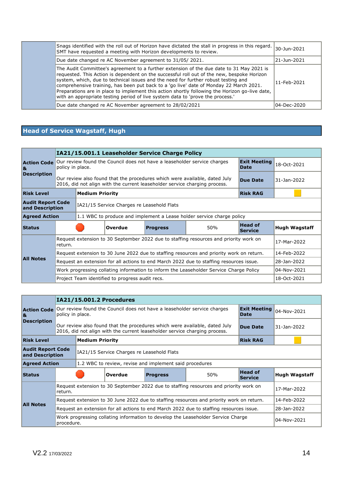| Snags identified with the roll out of Horizon have dictated the stall in progress in this regard. $ _{30}$ -Jun-2021<br>SMT have requested a meeting with Horizon developments to review.                                                                                                                                                                                                                                                                                                                                                                  |             |
|------------------------------------------------------------------------------------------------------------------------------------------------------------------------------------------------------------------------------------------------------------------------------------------------------------------------------------------------------------------------------------------------------------------------------------------------------------------------------------------------------------------------------------------------------------|-------------|
| Due date changed re AC November agreement to 31/05/2021.                                                                                                                                                                                                                                                                                                                                                                                                                                                                                                   | 21-Jun-2021 |
| The Audit Committee's agreement to a further extension of the due date to 31 May 2021 is<br>requested. This Action is dependent on the successful roll out of the new, bespoke Horizon<br>system, which, due to technical issues and the need for further robust testing and<br>comprehensive training, has been put back to a 'go live' date of Monday 22 March 2021.<br>Preparations are in place to implement this action shortly following the Horizon go-live date,<br>with an appropriate testing period of live system data to 'prove the process.' | 11-Feb-2021 |
| Due date changed re AC November agreement to 28/02/2021                                                                                                                                                                                                                                                                                                                                                                                                                                                                                                    | 04-Dec-2020 |

# **Head of Service Wagstaff, Hugh**

|                          |                                                                                           |                                                                                                                             |                                                                                                                                                          | IA21/15.001.1 Leaseholder Service Charge Policy |                                                                                          |                                  |                      |  |
|--------------------------|-------------------------------------------------------------------------------------------|-----------------------------------------------------------------------------------------------------------------------------|----------------------------------------------------------------------------------------------------------------------------------------------------------|-------------------------------------------------|------------------------------------------------------------------------------------------|----------------------------------|----------------------|--|
| <b>Action Code</b><br>8L |                                                                                           | <b>Exit Meeting</b><br>Our review found the Council does not have a leaseholder service charges<br>policy in place.<br>Date |                                                                                                                                                          |                                                 |                                                                                          |                                  |                      |  |
| <b>Description</b>       |                                                                                           |                                                                                                                             | Our review also found that the procedures which were available, dated July<br>2016, did not align with the current leaseholder service charging process. | Due Date                                        | 31-Jan-2022                                                                              |                                  |                      |  |
| <b>Risk Level</b>        |                                                                                           | <b>Medium Priority</b>                                                                                                      |                                                                                                                                                          |                                                 |                                                                                          | <b>Risk RAG</b>                  |                      |  |
|                          | <b>Audit Report Code</b><br>IA21/15 Service Charges re Leasehold Flats<br>and Description |                                                                                                                             |                                                                                                                                                          |                                                 |                                                                                          |                                  |                      |  |
| <b>Agreed Action</b>     |                                                                                           |                                                                                                                             |                                                                                                                                                          |                                                 | 1.1 WBC to produce and implement a Lease holder service charge policy                    |                                  |                      |  |
| <b>Status</b>            |                                                                                           |                                                                                                                             | Overdue                                                                                                                                                  | <b>Progress</b>                                 | 50%                                                                                      | <b>Head of</b><br><b>Service</b> | <b>Hugh Wagstaff</b> |  |
|                          | return.                                                                                   |                                                                                                                             |                                                                                                                                                          |                                                 | Request extension to 30 September 2022 due to staffing resources and priority work on    |                                  | 17-Mar-2022          |  |
|                          |                                                                                           |                                                                                                                             |                                                                                                                                                          |                                                 | Request extension to 30 June 2022 due to staffing resources and priority work on return. |                                  | 14-Feb-2022          |  |
| <b>All Notes</b>         |                                                                                           |                                                                                                                             |                                                                                                                                                          |                                                 | Request an extension for all actions to end March 2022 due to staffing resources issue.  |                                  | 28-Jan-2022          |  |
|                          |                                                                                           |                                                                                                                             |                                                                                                                                                          |                                                 | Work progressing collating information to inform the Leaseholder Service Charge Policy   |                                  | 04-Nov-2021          |  |
|                          |                                                                                           |                                                                                                                             | Project Team identified to progress audit recs.                                                                                                          |                                                 |                                                                                          |                                  | 18-Oct-2021          |  |

|                         | IA21/15.001.2 Procedures                                                                         |                        |                                                                                                                                                          |                                                         |                                                                                          |                                  |                      |  |  |
|-------------------------|--------------------------------------------------------------------------------------------------|------------------------|----------------------------------------------------------------------------------------------------------------------------------------------------------|---------------------------------------------------------|------------------------------------------------------------------------------------------|----------------------------------|----------------------|--|--|
| <b>Action Code</b><br>8 | policy in place.                                                                                 |                        |                                                                                                                                                          |                                                         | Our review found the Council does not have a leaseholder service charges                 | <b>Exit Meeting</b><br>Date      | 04-Nov-2021          |  |  |
| <b>Description</b>      |                                                                                                  |                        | Our review also found that the procedures which were available, dated July<br>2016, did not align with the current leaseholder service charging process. | <b>Due Date</b>                                         | 31-Jan-2022                                                                              |                                  |                      |  |  |
| <b>Risk Level</b>       |                                                                                                  | <b>Medium Priority</b> |                                                                                                                                                          |                                                         |                                                                                          | <b>Risk RAG</b>                  |                      |  |  |
|                         | <b>Audit Report Code</b><br>IA21/15 Service Charges re Leasehold Flats<br>and Description        |                        |                                                                                                                                                          |                                                         |                                                                                          |                                  |                      |  |  |
| <b>Agreed Action</b>    |                                                                                                  |                        |                                                                                                                                                          | 1.2 WBC to review, revise and implement said procedures |                                                                                          |                                  |                      |  |  |
| <b>Status</b>           |                                                                                                  |                        | Overdue                                                                                                                                                  | <b>Progress</b>                                         | 50%                                                                                      | <b>Head of</b><br><b>Service</b> | <b>Hugh Wagstaff</b> |  |  |
|                         | Request extension to 30 September 2022 due to staffing resources and priority work on<br>return. |                        |                                                                                                                                                          |                                                         |                                                                                          |                                  | 17-Mar-2022          |  |  |
| <b>All Notes</b>        |                                                                                                  |                        |                                                                                                                                                          |                                                         | Request extension to 30 June 2022 due to staffing resources and priority work on return. |                                  | 14-Feb-2022          |  |  |
|                         |                                                                                                  |                        |                                                                                                                                                          |                                                         | Request an extension for all actions to end March 2022 due to staffing resources issue.  |                                  | 28-Jan-2022          |  |  |
|                         | Work progressing collating information to develop the Leaseholder Service Charge<br>procedure.   |                        | 04-Nov-2021                                                                                                                                              |                                                         |                                                                                          |                                  |                      |  |  |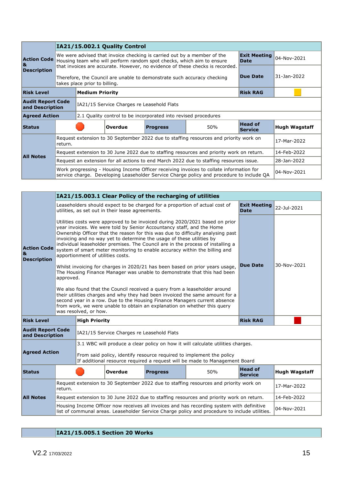|                                                                                        |                                                                                                                                                                                     | IA21/15.002.1 Quality Control                                                                                                                                                                                |                |                 |     |                                  |                      |  |
|----------------------------------------------------------------------------------------|-------------------------------------------------------------------------------------------------------------------------------------------------------------------------------------|--------------------------------------------------------------------------------------------------------------------------------------------------------------------------------------------------------------|----------------|-----------------|-----|----------------------------------|----------------------|--|
| <b>Action Code</b><br>ା&                                                               | We were advised that invoice checking is carried out by a member of the<br>Housing team who will perform random spot checks, which aim to ensure<br><b>Date</b>                     |                                                                                                                                                                                                              |                |                 |     | <b>Exit Meeting</b>              | 04-Nov-2021          |  |
| <b>Description</b>                                                                     |                                                                                                                                                                                     | that invoices are accurate. However, no evidence of these checks is recorded.<br><b>Due Date</b><br>Therefore, the Council are unable to demonstrate such accuracy checking<br>takes place prior to billing. |                |                 |     |                                  | 31-Jan-2022          |  |
| <b>Risk Level</b>                                                                      | <b>Medium Priority</b><br><b>Risk RAG</b>                                                                                                                                           |                                                                                                                                                                                                              |                |                 |     |                                  |                      |  |
| <b>Audit Report Code</b><br>and Description                                            |                                                                                                                                                                                     | IA21/15 Service Charges re Leasehold Flats                                                                                                                                                                   |                |                 |     |                                  |                      |  |
| <b>Agreed Action</b><br>2.1 Quality control to be incorporated into revised procedures |                                                                                                                                                                                     |                                                                                                                                                                                                              |                |                 |     |                                  |                      |  |
| <b>Status</b>                                                                          |                                                                                                                                                                                     |                                                                                                                                                                                                              | <b>Overdue</b> | <b>Progress</b> | 50% | <b>Head of</b><br><b>Service</b> | <b>Hugh Wagstaff</b> |  |
|                                                                                        | Request extension to 30 September 2022 due to staffing resources and priority work on<br>17-Mar-2022<br>return.                                                                     |                                                                                                                                                                                                              |                |                 |     |                                  |                      |  |
| <b>All Notes</b>                                                                       | Request extension to 30 June 2022 due to staffing resources and priority work on return.                                                                                            |                                                                                                                                                                                                              |                |                 |     |                                  | 14-Feb-2022          |  |
|                                                                                        | Request an extension for all actions to end March 2022 due to staffing resources issue.                                                                                             |                                                                                                                                                                                                              |                |                 |     |                                  | 28-Jan-2022          |  |
|                                                                                        | Work progressing - Housing Income Officer receiving invoices to collate information for<br>service charge. Developing Leaseholder Service Charge policy and procedure to include QA |                                                                                                                                                                                                              |                |                 |     |                                  | 04-Nov-2021          |  |

|                                               | IA21/15.003.1 Clear Policy of the recharging of utilities                                                                                                                                  |                                                                                                                                                                                                                                                                                                                                                                                                                                                                                                                                                                                                                                                                                                                                                                                                                                                                                                                                                                                                                                                                      |                                                  |  |                                                                                          |                                    |                      |
|-----------------------------------------------|--------------------------------------------------------------------------------------------------------------------------------------------------------------------------------------------|----------------------------------------------------------------------------------------------------------------------------------------------------------------------------------------------------------------------------------------------------------------------------------------------------------------------------------------------------------------------------------------------------------------------------------------------------------------------------------------------------------------------------------------------------------------------------------------------------------------------------------------------------------------------------------------------------------------------------------------------------------------------------------------------------------------------------------------------------------------------------------------------------------------------------------------------------------------------------------------------------------------------------------------------------------------------|--------------------------------------------------|--|------------------------------------------------------------------------------------------|------------------------------------|----------------------|
|                                               |                                                                                                                                                                                            |                                                                                                                                                                                                                                                                                                                                                                                                                                                                                                                                                                                                                                                                                                                                                                                                                                                                                                                                                                                                                                                                      | utilities, as set out in their lease agreements. |  | Leaseholders should expect to be charged for a proportion of actual cost of              | <b>Exit Meeting</b><br><b>Date</b> | 22-Jul-2021          |
| <b>Action Code</b><br>&<br><b>Description</b> | approved.                                                                                                                                                                                  | Utilities costs were approved to be invoiced during 2020/2021 based on prior<br>year invoices. We were told by Senior Accountancy staff, and the Home<br>Ownership Officer that the reason for this was due to difficulty analysing past<br>invoicing and no way yet to determine the usage of these utilities by<br>individual leaseholder premises. The Council are in the process of installing a<br>system of smart meter monitoring to enable accuracy within the billing and<br>apportionment of utilities costs.<br>30-Nov-2021<br><b>Due Date</b><br>Whilst invoicing for charges in 2020/21 has been based on prior years usage,<br>The Housing Finance Manager was unable to demonstrate that this had been<br>We also found that the Council received a query from a leaseholder around<br>their utilities charges and why they had been invoiced the same amount for a<br>second year in a row. Due to the Housing Finance Managers current absence<br>from work, we were unable to obtain an explanation on whether this query<br>was resolved, or how. |                                                  |  |                                                                                          |                                    |                      |
| <b>Risk Level</b>                             | <b>High Priority</b><br><b>Risk RAG</b>                                                                                                                                                    |                                                                                                                                                                                                                                                                                                                                                                                                                                                                                                                                                                                                                                                                                                                                                                                                                                                                                                                                                                                                                                                                      |                                                  |  |                                                                                          |                                    |                      |
|                                               | <b>Audit Report Code</b><br>IA21/15 Service Charges re Leasehold Flats<br>and Description                                                                                                  |                                                                                                                                                                                                                                                                                                                                                                                                                                                                                                                                                                                                                                                                                                                                                                                                                                                                                                                                                                                                                                                                      |                                                  |  |                                                                                          |                                    |                      |
|                                               | 3.1 WBC will produce a clear policy on how it will calculate utilities charges.                                                                                                            |                                                                                                                                                                                                                                                                                                                                                                                                                                                                                                                                                                                                                                                                                                                                                                                                                                                                                                                                                                                                                                                                      |                                                  |  |                                                                                          |                                    |                      |
| <b>Agreed Action</b>                          | From said policy, identify resource required to implement the policy<br>If additional resource required a request will be made to Management Board                                         |                                                                                                                                                                                                                                                                                                                                                                                                                                                                                                                                                                                                                                                                                                                                                                                                                                                                                                                                                                                                                                                                      |                                                  |  |                                                                                          |                                    |                      |
| <b>Status</b>                                 |                                                                                                                                                                                            | <b>Head of</b><br>50%<br>Overdue<br><b>Progress</b><br><b>Service</b>                                                                                                                                                                                                                                                                                                                                                                                                                                                                                                                                                                                                                                                                                                                                                                                                                                                                                                                                                                                                |                                                  |  |                                                                                          |                                    | <b>Hugh Wagstaff</b> |
|                                               | Request extension to 30 September 2022 due to staffing resources and priority work on<br>return.                                                                                           |                                                                                                                                                                                                                                                                                                                                                                                                                                                                                                                                                                                                                                                                                                                                                                                                                                                                                                                                                                                                                                                                      |                                                  |  |                                                                                          |                                    | 17-Mar-2022          |
| <b>All Notes</b>                              |                                                                                                                                                                                            |                                                                                                                                                                                                                                                                                                                                                                                                                                                                                                                                                                                                                                                                                                                                                                                                                                                                                                                                                                                                                                                                      |                                                  |  | Request extension to 30 June 2022 due to staffing resources and priority work on return. |                                    | 14-Feb-2022          |
|                                               | Housing Income Officer now receives all invoices and has recording system with definitive<br>list of communal areas. Leaseholder Service Charge policy and procedure to include utilities. |                                                                                                                                                                                                                                                                                                                                                                                                                                                                                                                                                                                                                                                                                                                                                                                                                                                                                                                                                                                                                                                                      |                                                  |  |                                                                                          | 04-Nov-2021                        |                      |

# **IA21/15.005.1 Section 20 Works**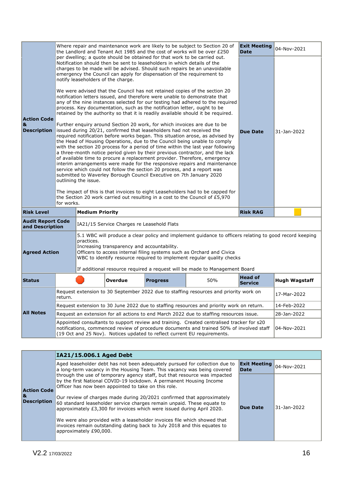|                                                                                                                                                                                                                                                                                                                                                                                                                             |                                                                                                                                                                                                                                                                                                                                                                                                                                                                                                                                                                                                                                                                                                                                                                                                                                              |                                                                                                                                                                                                                                                                                                                                                                                                                                                                                                                                                                                                                                                                                                                                                                                                                                                                                                              |  |  | Where repair and maintenance work are likely to be subject to Section 20 of<br>the Landlord and Tenant Act 1985 and the cost of works will be over $£250$ | <b>Exit Meeting</b><br><b>Date</b> | 04-Nov-2021 |
|-----------------------------------------------------------------------------------------------------------------------------------------------------------------------------------------------------------------------------------------------------------------------------------------------------------------------------------------------------------------------------------------------------------------------------|----------------------------------------------------------------------------------------------------------------------------------------------------------------------------------------------------------------------------------------------------------------------------------------------------------------------------------------------------------------------------------------------------------------------------------------------------------------------------------------------------------------------------------------------------------------------------------------------------------------------------------------------------------------------------------------------------------------------------------------------------------------------------------------------------------------------------------------------|--------------------------------------------------------------------------------------------------------------------------------------------------------------------------------------------------------------------------------------------------------------------------------------------------------------------------------------------------------------------------------------------------------------------------------------------------------------------------------------------------------------------------------------------------------------------------------------------------------------------------------------------------------------------------------------------------------------------------------------------------------------------------------------------------------------------------------------------------------------------------------------------------------------|--|--|-----------------------------------------------------------------------------------------------------------------------------------------------------------|------------------------------------|-------------|
| <b>Action Code</b><br>&<br><b>Description</b>                                                                                                                                                                                                                                                                                                                                                                               | per dwelling; a quote should be obtained for that work to be carried out.<br>Notification should then be sent to leaseholders in which details of the<br>charges to be made will be advised. Should such repairs be an unavoidable<br>emergency the Council can apply for dispensation of the requirement to<br>notify leaseholders of the charge.<br>We were advised that the Council has not retained copies of the section 20<br>notification letters issued, and therefore were unable to demonstrate that<br>any of the nine instances selected for our testing had adhered to the required<br>process. Key documentation, such as the notification letter, ought to be<br>retained by the authority so that it is readily available should it be required.<br>Further enquiry around Section 20 work, for which invoices are due to be |                                                                                                                                                                                                                                                                                                                                                                                                                                                                                                                                                                                                                                                                                                                                                                                                                                                                                                              |  |  |                                                                                                                                                           |                                    | 31-Jan-2022 |
|                                                                                                                                                                                                                                                                                                                                                                                                                             | for works.                                                                                                                                                                                                                                                                                                                                                                                                                                                                                                                                                                                                                                                                                                                                                                                                                                   | issued during 20/21, confirmed that leaseholders had not received the<br>required notification before works began. This situation arose, as advised by<br>the Head of Housing Operations, due to the Council being unable to comply<br>with the section 20 process for a period of time within the last year following<br>a three-month notice period given by their previous contractor, and the lack<br>of available time to procure a replacement provider. Therefore, emergency<br>interim arrangements were made for the responsive repairs and maintenance<br>service which could not follow the section 20 process, and a report was<br>submitted to Waverley Borough Council Executive on 7th January 2020<br>outlining the issue.<br>The impact of this is that invoices to eight Leaseholders had to be capped for<br>the Section 20 work carried out resulting in a cost to the Council of £5,970 |  |  |                                                                                                                                                           | <b>Due Date</b>                    |             |
| <b>Risk Level</b>                                                                                                                                                                                                                                                                                                                                                                                                           | <b>Medium Priority</b><br><b>Risk RAG</b>                                                                                                                                                                                                                                                                                                                                                                                                                                                                                                                                                                                                                                                                                                                                                                                                    |                                                                                                                                                                                                                                                                                                                                                                                                                                                                                                                                                                                                                                                                                                                                                                                                                                                                                                              |  |  |                                                                                                                                                           |                                    |             |
|                                                                                                                                                                                                                                                                                                                                                                                                                             | <b>Audit Report Code</b><br>IA21/15 Service Charges re Leasehold Flats<br>and Description                                                                                                                                                                                                                                                                                                                                                                                                                                                                                                                                                                                                                                                                                                                                                    |                                                                                                                                                                                                                                                                                                                                                                                                                                                                                                                                                                                                                                                                                                                                                                                                                                                                                                              |  |  |                                                                                                                                                           |                                    |             |
| 5.1 WBC will produce a clear policy and implement guidance to officers relating to good record keeping<br>practices.<br>Increasing transparency and accountability.<br>Officers to access internal filing systems such as Orchard and Civica<br><b>Agreed Action</b><br>WBC to identify resource required to implement reqular quality checks<br>If additional resource required a request will be made to Management Board |                                                                                                                                                                                                                                                                                                                                                                                                                                                                                                                                                                                                                                                                                                                                                                                                                                              |                                                                                                                                                                                                                                                                                                                                                                                                                                                                                                                                                                                                                                                                                                                                                                                                                                                                                                              |  |  |                                                                                                                                                           |                                    |             |
| <b>Status</b>                                                                                                                                                                                                                                                                                                                                                                                                               | <b>Head of</b><br>50%<br>Overdue<br><b>Progress</b><br><b>Service</b>                                                                                                                                                                                                                                                                                                                                                                                                                                                                                                                                                                                                                                                                                                                                                                        |                                                                                                                                                                                                                                                                                                                                                                                                                                                                                                                                                                                                                                                                                                                                                                                                                                                                                                              |  |  | <b>Hugh Wagstaff</b>                                                                                                                                      |                                    |             |
|                                                                                                                                                                                                                                                                                                                                                                                                                             | Request extension to 30 September 2022 due to staffing resources and priority work on<br>return.                                                                                                                                                                                                                                                                                                                                                                                                                                                                                                                                                                                                                                                                                                                                             |                                                                                                                                                                                                                                                                                                                                                                                                                                                                                                                                                                                                                                                                                                                                                                                                                                                                                                              |  |  |                                                                                                                                                           |                                    | 17-Mar-2022 |
|                                                                                                                                                                                                                                                                                                                                                                                                                             |                                                                                                                                                                                                                                                                                                                                                                                                                                                                                                                                                                                                                                                                                                                                                                                                                                              |                                                                                                                                                                                                                                                                                                                                                                                                                                                                                                                                                                                                                                                                                                                                                                                                                                                                                                              |  |  | Request extension to 30 June 2022 due to staffing resources and priority work on return.                                                                  |                                    | 14-Feb-2022 |
| <b>All Notes</b>                                                                                                                                                                                                                                                                                                                                                                                                            |                                                                                                                                                                                                                                                                                                                                                                                                                                                                                                                                                                                                                                                                                                                                                                                                                                              |                                                                                                                                                                                                                                                                                                                                                                                                                                                                                                                                                                                                                                                                                                                                                                                                                                                                                                              |  |  | Request an extension for all actions to end March 2022 due to staffing resources issue.                                                                   |                                    | 28-Jan-2022 |
|                                                                                                                                                                                                                                                                                                                                                                                                                             | Appointed consultants to support review and training. Created centralised tracker for s20<br>notifications, commenced review of procedure documents and trained 50% of involved staff<br>(19 Oct and 25 Nov). Notices updated to reflect current EU requirements.                                                                                                                                                                                                                                                                                                                                                                                                                                                                                                                                                                            |                                                                                                                                                                                                                                                                                                                                                                                                                                                                                                                                                                                                                                                                                                                                                                                                                                                                                                              |  |  |                                                                                                                                                           |                                    | 04-Nov-2021 |

|  |                                                                                                                                                                                              | IA21/15.006.1 Aged Debt                                                                                                                                                                                                                                                                                                                                                                                                                                                                                                                                                                                                  |                 |             |
|--|----------------------------------------------------------------------------------------------------------------------------------------------------------------------------------------------|--------------------------------------------------------------------------------------------------------------------------------------------------------------------------------------------------------------------------------------------------------------------------------------------------------------------------------------------------------------------------------------------------------------------------------------------------------------------------------------------------------------------------------------------------------------------------------------------------------------------------|-----------------|-------------|
|  | <b>Exit Meeting</b><br>Aged leaseholder debt has not been adequately pursued for collection due to<br>a long-term vacancy in the Housing Team. This vacancy was being covered<br><b>Date</b> |                                                                                                                                                                                                                                                                                                                                                                                                                                                                                                                                                                                                                          | 04-Nov-2021     |             |
|  | <b>Action Code</b><br>1&<br><b>Description</b>                                                                                                                                               | through the use of temporary agency staff, but that resource was impacted<br>by the first National COVID-19 lockdown. A permanent Housing Income<br>Officer has now been appointed to take on this role.<br>Our review of charges made during 20/2021 confirmed that approximately<br>60 standard leaseholder service charges remain unpaid. These equate to<br>approximately £3,300 for invoices which were issued during April 2020.<br>We were also provided with a leaseholder invoices file which showed that<br>invoices remain outstanding dating back to July 2018 and this equates to<br>approximately £90,000. | <b>Due Date</b> | 31-Jan-2022 |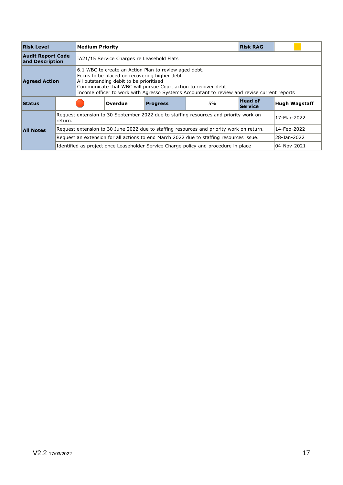| <b>Risk Level</b>                                                                                                                                                                                                                                                                                                                        | <b>Medium Priority</b> |                                                                                                      |         |                 |                                                                                     | <b>Risk RAG</b>                  |                      |
|------------------------------------------------------------------------------------------------------------------------------------------------------------------------------------------------------------------------------------------------------------------------------------------------------------------------------------------|------------------------|------------------------------------------------------------------------------------------------------|---------|-----------------|-------------------------------------------------------------------------------------|----------------------------------|----------------------|
| <b>Audit Report Code</b><br>and Description                                                                                                                                                                                                                                                                                              |                        | IA21/15 Service Charges re Leasehold Flats                                                           |         |                 |                                                                                     |                                  |                      |
| 6.1 WBC to create an Action Plan to review aged debt.<br>Focus to be placed on recovering higher debt<br>All outstanding debit to be prioritised<br><b>Agreed Action</b><br>Communicate that WBC will pursue Court action to recover debt<br>Income officer to work with Agresso Systems Accountant to review and revise current reports |                        |                                                                                                      |         |                 |                                                                                     |                                  |                      |
| <b>Status</b>                                                                                                                                                                                                                                                                                                                            |                        |                                                                                                      | Overdue | <b>Progress</b> | 5%                                                                                  | <b>Head of</b><br><b>Service</b> | <b>Hugh Wagstaff</b> |
|                                                                                                                                                                                                                                                                                                                                          | return.                | Request extension to 30 September 2022 due to staffing resources and priority work on<br>17-Mar-2022 |         |                 |                                                                                     |                                  |                      |
| <b>All Notes</b>                                                                                                                                                                                                                                                                                                                         |                        | Request extension to 30 June 2022 due to staffing resources and priority work on return.             |         | 14-Feb-2022     |                                                                                     |                                  |                      |
|                                                                                                                                                                                                                                                                                                                                          |                        | Request an extension for all actions to end March 2022 due to staffing resources issue.              |         | 28-Jan-2022     |                                                                                     |                                  |                      |
|                                                                                                                                                                                                                                                                                                                                          |                        |                                                                                                      |         |                 | Identified as project once Leaseholder Service Charge policy and procedure in place |                                  | 04-Nov-2021          |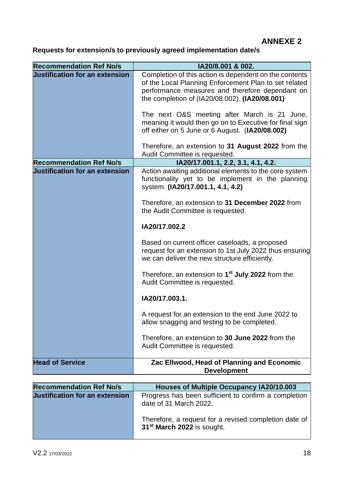# **ANNEXE 2**

# **Requests for extension/s to previously agreed implementation date/s**

| <b>Recommendation Ref No/s</b>        | IA20/8.001 & 002.                                                                                                                                                                                                    |
|---------------------------------------|----------------------------------------------------------------------------------------------------------------------------------------------------------------------------------------------------------------------|
| <b>Justification for an extension</b> | Completion of this action is dependent on the contents<br>of the Local Planning Enforcement Plan to set related<br>performance measures and therefore dependant on<br>the completion of (IA20/08.002). (IA20/08.001) |
|                                       | The next O&S meeting after March is 21 June,<br>meaning it would then go on to Executive for final sign<br>off either on 5 June or 6 August. (IA20/08.002)                                                           |
|                                       | Therefore, an extension to 31 August 2022 from the<br>Audit Committee is requested.                                                                                                                                  |
| <b>Recommendation Ref No/s</b>        | IA20/17.001.1, 2.2, 3.1, 4.1, 4.2.                                                                                                                                                                                   |
| <b>Justification for an extension</b> | Action awaiting additional elements to the core system<br>functionality yet to be implement in the planning<br>system. (IA20/17.001.1, 4.1, 4.2)                                                                     |
|                                       | Therefore, an extension to 31 December 2022 from<br>the Audit Committee is requested.                                                                                                                                |
|                                       | IA20/17.002.2                                                                                                                                                                                                        |
|                                       | Based on current officer caseloads, a proposed<br>request for an extension to 1st July 2022 thus ensuring<br>we can deliver the new structure efficiently.                                                           |
|                                       | Therefore, an extension to 1 <sup>st</sup> July 2022 from the<br>Audit Committee is requested.                                                                                                                       |
|                                       | IA20/17.003.1.                                                                                                                                                                                                       |
|                                       | A request for an extension to the end June 2022 to<br>allow snagging and testing to be completed.                                                                                                                    |
|                                       | Therefore, an extension to 30 June 2022 from the<br>Audit Committee is requested.                                                                                                                                    |
| <b>Head of Service</b>                | Zac Ellwood, Head of Planning and Economic<br><b>Development</b>                                                                                                                                                     |

| <b>Recommendation Ref No/s</b>        | <b>Houses of Multiple Occupancy IA20/10.003</b>                                                 |
|---------------------------------------|-------------------------------------------------------------------------------------------------|
| <b>Justification for an extension</b> | Progress has been sufficient to confirm a completion<br>date of 31 March 2022.                  |
|                                       | Therefore, a request for a revised completion date of<br>31 <sup>st</sup> March 2022 is sought. |